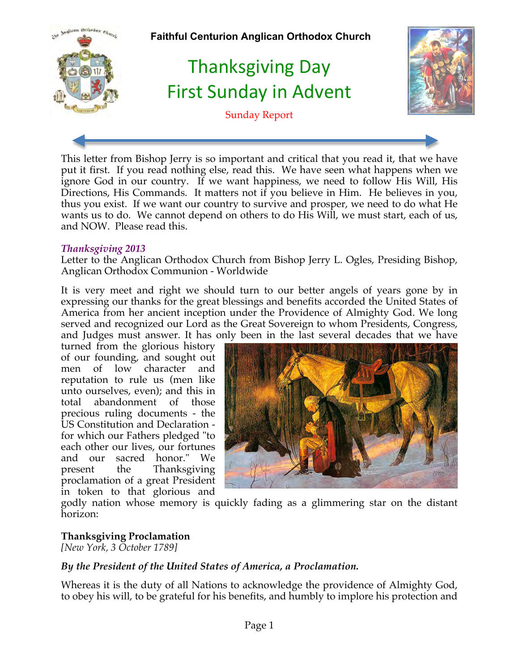

This letter from Bishop Jerry is so important and critical that you read it, that we have put it first. If you read nothing else, read this. We have seen what happens when we ignore God in our country. If we want happiness, we need to follow His Will, His Directions, His Commands. It matters not if you believe in Him. He believes in you, thus you exist. If we want our country to survive and prosper, we need to do what He wants us to do. We cannot depend on others to do His Will, we must start, each of us, and NOW. Please read this.

#### *Thanksgiving 2013*

Letter to the Anglican Orthodox Church from Bishop Jerry L. Ogles, Presiding Bishop, Anglican Orthodox Communion - Worldwide

It is very meet and right we should turn to our better angels of years gone by in expressing our thanks for the great blessings and benefits accorded the United States of America from her ancient inception under the Providence of Almighty God. We long served and recognized our Lord as the Great Sovereign to whom Presidents, Congress, and Judges must answer. It has only been in the last several decades that we have

turned from the glorious history of our founding, and sought out men of low character and reputation to rule us (men like unto ourselves, even); and this in total abandonment of those precious ruling documents - the US Constitution and Declaration for which our Fathers pledged "to each other our lives, our fortunes and our sacred honor." We present the Thanksgiving proclamation of a great President in token to that glorious and



godly nation whose memory is quickly fading as a glimmering star on the distant horizon:

#### **Thanksgiving Proclamation**

*[New York, 3 October 1789]*

#### *By the President of the United States of America, a Proclamation.*

Whereas it is the duty of all Nations to acknowledge the providence of Almighty God, to obey his will, to be grateful for his benefits, and humbly to implore his protection and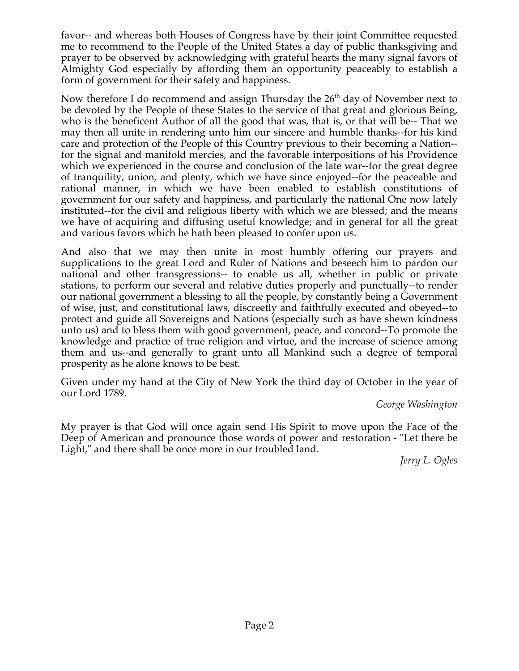favor-- and whereas both Houses of Congress have by their joint Committee requested me to recommend to the People of the United States a day of public thanksgiving and prayer to be observed by acknowledging with grateful hearts the many signal favors of Almighty God especially by affording them an opportunity peaceably to establish a form of government for their safety and happiness.

Now therefore I do recommend and assign Thursday the  $26<sup>th</sup>$  day of November next to be devoted by the People of these States to the service of that great and glorious Being, who is the beneficent Author of all the good that was, that is, or that will be-- That we may then all unite in rendering unto him our sincere and humble thanks--for his kind care and protection of the People of this Country previous to their becoming a Nation- for the signal and manifold mercies, and the favorable interpositions of his Providence which we experienced in the course and conclusion of the late war--for the great degree of tranquility, union, and plenty, which we have since enjoyed--for the peaceable and rational manner, in which we have been enabled to establish constitutions of government for our safety and happiness, and particularly the national One now lately instituted--for the civil and religious liberty with which we are blessed; and the means we have of acquiring and diffusing useful knowledge; and in general for all the great and various favors which he hath been pleased to confer upon us.

And also that we may then unite in most humbly offering our prayers and supplications to the great Lord and Ruler of Nations and beseech him to pardon our national and other transgressions-- to enable us all, whether in public or private stations, to perform our several and relative duties properly and punctually--to render our national government a blessing to all the people, by constantly being a Government of wise, just, and constitutional laws, discreetly and faithfully executed and obeyed--to protect and guide all Sovereigns and Nations (especially such as have shewn kindness unto us) and to bless them with good government, peace, and concord--To promote the knowledge and practice of true religion and virtue, and the increase of science among them and us--and generally to grant unto all Mankind such a degree of temporal prosperity as he alone knows to be best.

Given under my hand at the City of New York the third day of October in the year of our Lord 1789.

*George Washington*

My prayer is that God will once again send His Spirit to move upon the Face of the Deep of American and pronounce those words of power and restoration - "Let there be Light," and there shall be once more in our troubled land.

*Jerry L. Ogles*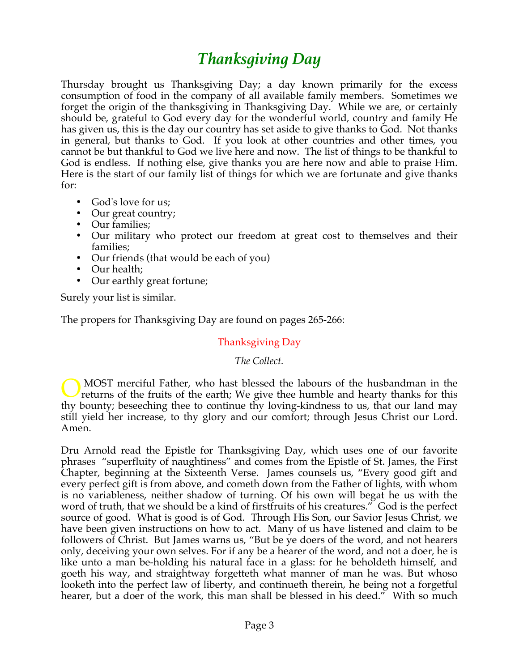# *Thanksgiving Day*

Thursday brought us Thanksgiving Day; a day known primarily for the excess consumption of food in the company of all available family members. Sometimes we forget the origin of the thanksgiving in Thanksgiving Day. While we are, or certainly should be, grateful to God every day for the wonderful world, country and family He has given us, this is the day our country has set aside to give thanks to God. Not thanks in general, but thanks to God. If you look at other countries and other times, you cannot be but thankful to God we live here and now. The list of things to be thankful to God is endless. If nothing else, give thanks you are here now and able to praise Him. Here is the start of our family list of things for which we are fortunate and give thanks for:

- God's love for us;
- Our great country;
- Our families;
- Our military who protect our freedom at great cost to themselves and their families;
- Our friends (that would be each of you)
- Our health;
- Our earthly great fortune;

Surely your list is similar.

The propers for Thanksgiving Day are found on pages 265-266:

# Thanksgiving Day

#### *The Collect.*

 MOST merciful Father, who hast blessed the labours of the husbandman in the MOST merciful Father, who hast blessed the labours of the husbandman in the returns of the fruits of the earth; We give thee humble and hearty thanks for this thy bounty; beseeching thee to continue thy loving-kindness to us, that our land may still yield her increase, to thy glory and our comfort; through Jesus Christ our Lord. Amen.

Dru Arnold read the Epistle for Thanksgiving Day, which uses one of our favorite phrases "superfluity of naughtiness" and comes from the Epistle of St. James, the First Chapter, beginning at the Sixteenth Verse. James counsels us, "Every good gift and every perfect gift is from above, and cometh down from the Father of lights, with whom is no variableness, neither shadow of turning. Of his own will begat he us with the word of truth, that we should be a kind of firstfruits of his creatures." God is the perfect source of good. What is good is of God. Through His Son, our Savior Jesus Christ, we have been given instructions on how to act. Many of us have listened and claim to be followers of Christ. But James warns us, "But be ye doers of the word, and not hearers only, deceiving your own selves. For if any be a hearer of the word, and not a doer, he is like unto a man be-holding his natural face in a glass: for he beholdeth himself, and goeth his way, and straightway forgetteth what manner of man he was. But whoso looketh into the perfect law of liberty, and continueth therein, he being not a forgetful hearer, but a doer of the work, this man shall be blessed in his deed." With so much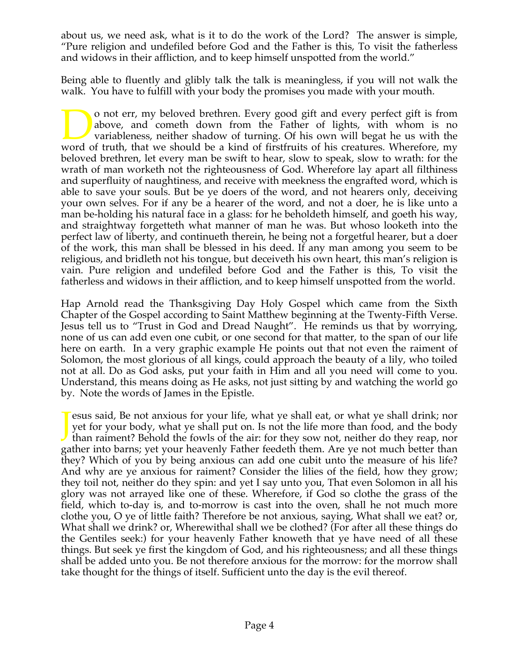about us, we need ask, what is it to do the work of the Lord? The answer is simple, "Pure religion and undefiled before God and the Father is this, To visit the fatherless and widows in their affliction, and to keep himself unspotted from the world."

Being able to fluently and glibly talk the talk is meaningless, if you will not walk the walk. You have to fulfill with your body the promises you made with your mouth.

o not err, my beloved brethren. Every good gift and every perfect gift is from above, and cometh down from the Father of lights, with whom is no variableness, neither shadow of turning. Of his own will begat he us with the o not err, my beloved brethren. Every good gift and every perfect gift is from above, and cometh down from the Father of lights, with whom is no variableness, neither shadow of turning. Of his own will begat he us with the beloved brethren, let every man be swift to hear, slow to speak, slow to wrath: for the wrath of man worketh not the righteousness of God. Wherefore lay apart all filthiness and superfluity of naughtiness, and receive with meekness the engrafted word, which is able to save your souls. But be ye doers of the word, and not hearers only, deceiving your own selves. For if any be a hearer of the word, and not a doer, he is like unto a man be-holding his natural face in a glass: for he beholdeth himself, and goeth his way, and straightway forgetteth what manner of man he was. But whoso looketh into the perfect law of liberty, and continueth therein, he being not a forgetful hearer, but a doer of the work, this man shall be blessed in his deed. If any man among you seem to be religious, and bridleth not his tongue, but deceiveth his own heart, this man's religion is vain. Pure religion and undefiled before God and the Father is this, To visit the fatherless and widows in their affliction, and to keep himself unspotted from the world.

Hap Arnold read the Thanksgiving Day Holy Gospel which came from the Sixth Chapter of the Gospel according to Saint Matthew beginning at the Twenty-Fifth Verse. Jesus tell us to "Trust in God and Dread Naught". He reminds us that by worrying, none of us can add even one cubit, or one second for that matter, to the span of our life here on earth. In a very graphic example He points out that not even the raiment of Solomon, the most glorious of all kings, could approach the beauty of a lily, who toiled not at all. Do as God asks, put your faith in Him and all you need will come to you. Understand, this means doing as He asks, not just sitting by and watching the world go by. Note the words of James in the Epistle.

The sus said, Be not anxious for your life, what ye shall eat, or what ye shall drink; nor yet for your body, what ye shall put on. Is not the life more than food, and the body than raiment? Behold the fowls of the air: fo yet for your body, what ye shall put on. Is not the life more than food, and the body than raiment? Behold the fowls of the air: for they sow not, neither do they reap, nor gather into barns; yet your heavenly Father feedeth them. Are ye not much better than they? Which of you by being anxious can add one cubit unto the measure of his life? And why are ye anxious for raiment? Consider the lilies of the field, how they grow; they toil not, neither do they spin: and yet I say unto you, That even Solomon in all his glory was not arrayed like one of these. Wherefore, if God so clothe the grass of the field, which to-day is, and to-morrow is cast into the oven, shall he not much more clothe you, O ye of little faith? Therefore be not anxious, saying, What shall we eat? or, What shall we drink? or, Wherewithal shall we be clothed? (For after all these things do the Gentiles seek:) for your heavenly Father knoweth that ye have need of all these things. But seek ye first the kingdom of God, and his righteousness; and all these things shall be added unto you. Be not therefore anxious for the morrow: for the morrow shall take thought for the things of itself. Sufficient unto the day is the evil thereof.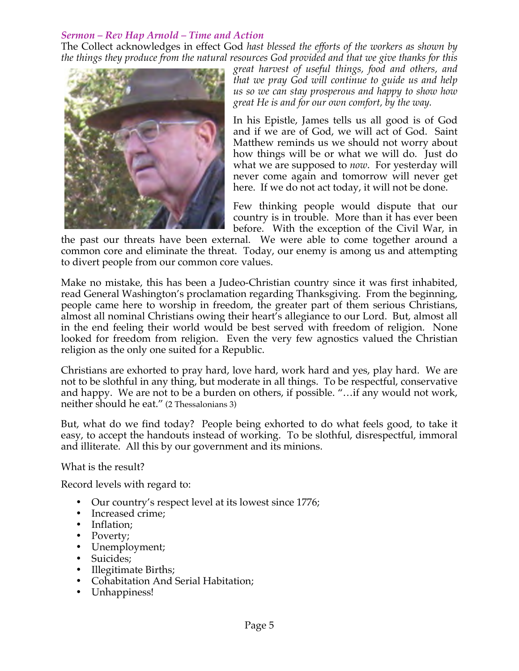#### *Sermon – Rev Hap Arnold – Time and Action*

The Collect acknowledges in effect God *hast blessed the efforts of the workers as shown by the things they produce from the natural resources God provided and that we give thanks for this* 



*great harvest of useful things, food and others, and that we pray God will continue to guide us and help us so we can stay prosperous and happy to show how great He is and for our own comfort, by the way.*

In his Epistle, James tells us all good is of God and if we are of God, we will act of God. Saint Matthew reminds us we should not worry about how things will be or what we will do. Just do what we are supposed to *now*. For yesterday will never come again and tomorrow will never get here. If we do not act today, it will not be done.

Few thinking people would dispute that our country is in trouble. More than it has ever been before. With the exception of the Civil War, in

the past our threats have been external. We were able to come together around a common core and eliminate the threat. Today, our enemy is among us and attempting to divert people from our common core values.

Make no mistake, this has been a Judeo-Christian country since it was first inhabited, read General Washington's proclamation regarding Thanksgiving. From the beginning, people came here to worship in freedom, the greater part of them serious Christians, almost all nominal Christians owing their heart's allegiance to our Lord. But, almost all in the end feeling their world would be best served with freedom of religion. None looked for freedom from religion. Even the very few agnostics valued the Christian religion as the only one suited for a Republic.

Christians are exhorted to pray hard, love hard, work hard and yes, play hard. We are not to be slothful in any thing, but moderate in all things. To be respectful, conservative and happy. We are not to be a burden on others, if possible. "…if any would not work, neither should he eat." (2 Thessalonians 3)

But, what do we find today? People being exhorted to do what feels good, to take it easy, to accept the handouts instead of working. To be slothful, disrespectful, immoral and illiterate. All this by our government and its minions.

What is the result?

Record levels with regard to:

- Our country's respect level at its lowest since 1776;
- Increased crime;
- Inflation;
- Poverty;
- Unemployment;
- Suicides;
- Illegitimate Births;
- Cohabitation And Serial Habitation;
- Unhappiness!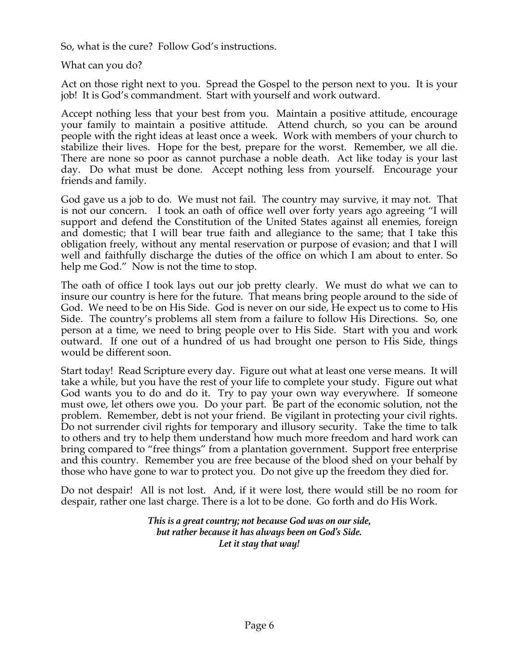So, what is the cure? Follow God's instructions.

What can you do?

Act on those right next to you. Spread the Gospel to the person next to you. It is your job! It is God's commandment. Start with yourself and work outward.

Accept nothing less that your best from you. Maintain a positive attitude, encourage your family to maintain a positive attitude. Attend church, so you can be around people with the right ideas at least once a week. Work with members of your church to stabilize their lives. Hope for the best, prepare for the worst. Remember, we all die. There are none so poor as cannot purchase a noble death. Act like today is your last day. Do what must be done. Accept nothing less from yourself. Encourage your friends and family.

God gave us a job to do. We must not fail. The country may survive, it may not. That is not our concern. I took an oath of office well over forty years ago agreeing "I will support and defend the Constitution of the United States against all enemies, foreign and domestic; that I will bear true faith and allegiance to the same; that I take this obligation freely, without any mental reservation or purpose of evasion; and that I will well and faithfully discharge the duties of the office on which I am about to enter. So help me God." Now is not the time to stop.

The oath of office I took lays out our job pretty clearly. We must do what we can to insure our country is here for the future. That means bring people around to the side of God. We need to be on His Side. God is never on our side, He expect us to come to His Side. The country's problems all stem from a failure to follow His Directions. So, one person at a time, we need to bring people over to His Side. Start with you and work outward. If one out of a hundred of us had brought one person to His Side, things would be different soon.

Start today! Read Scripture every day. Figure out what at least one verse means. It will take a while, but you have the rest of your life to complete your study. Figure out what God wants you to do and do it. Try to pay your own way everywhere. If someone must owe, let others owe you. Do your part. Be part of the economic solution, not the problem. Remember, debt is not your friend. Be vigilant in protecting your civil rights. Do not surrender civil rights for temporary and illusory security. Take the time to talk to others and try to help them understand how much more freedom and hard work can bring compared to "free things" from a plantation government. Support free enterprise and this country. Remember you are free because of the blood shed on your behalf by those who have gone to war to protect you. Do not give up the freedom they died for.

Do not despair! All is not lost. And, if it were lost, there would still be no room for despair, rather one last charge. There is a lot to be done. Go forth and do His Work.

> *This is a great country; not because God was on our side, but rather because it has always been on God's Side. Let it stay that way!*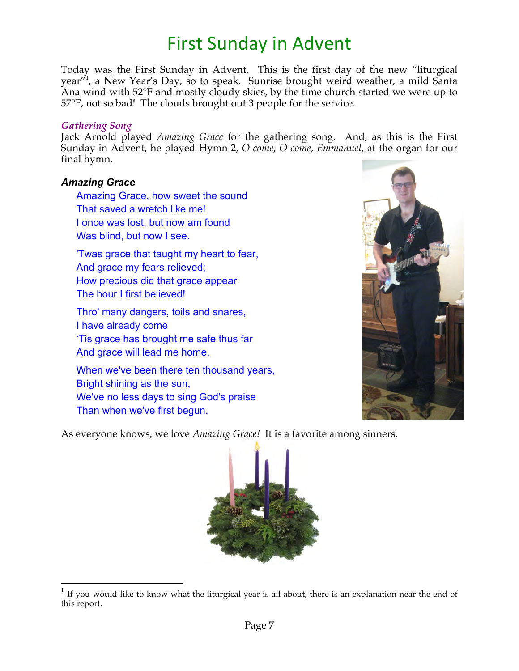# **First Sunday in Advent**

Today was the First Sunday in Advent. This is the first day of the new "liturgical year"<sup>1</sup>, a New Year's Day, so to speak. Sunrise brought weird weather, a mild Santa Ana wind with 52°F and mostly cloudy skies, by the time church started we were up to 57°F, not so bad! The clouds brought out 3 people for the service.

#### *Gathering Song*

Jack Arnold played *Amazing Grace* for the gathering song. And, as this is the First Sunday in Advent, he played Hymn 2, *O come, O come, Emmanuel*, at the organ for our final hymn.

#### *Amazing Grace*

Amazing Grace, how sweet the sound That saved a wretch like me! I once was lost, but now am found Was blind, but now I see.

'Twas grace that taught my heart to fear, And grace my fears relieved; How precious did that grace appear The hour I first believed!

Thro' many dangers, toils and snares, I have already come 'Tis grace has brought me safe thus far And grace will lead me home.

When we've been there ten thousand years, Bright shining as the sun, We've no less days to sing God's praise Than when we've first begun.



As everyone knows, we love *Amazing Grace!* It is a favorite among sinners.



 $1$  If you would like to know what the liturgical year is all about, there is an explanation near the end of this report.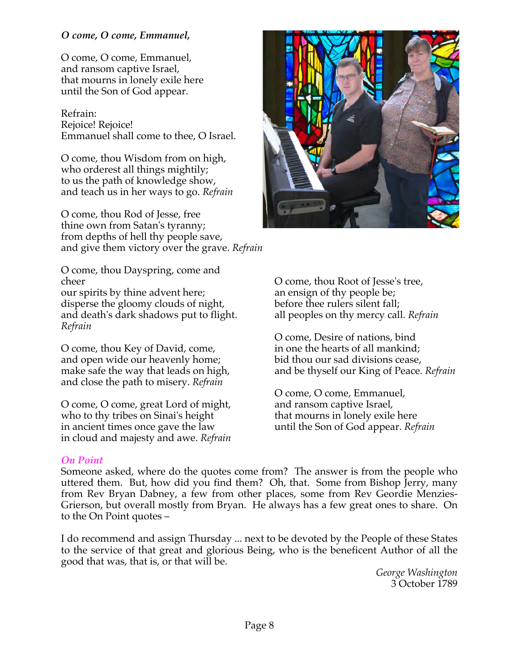## *O come, O come, Emmanuel,*

O come, O come, Emmanuel, and ransom captive Israel, that mourns in lonely exile here until the Son of God appear.

Refrain: Rejoice! Rejoice! Emmanuel shall come to thee, O Israel.

O come, thou Wisdom from on high, who orderest all things mightily; to us the path of knowledge show, and teach us in her ways to go. *Refrain*

O come, thou Rod of Jesse, free thine own from Satan's tyranny; from depths of hell thy people save, and give them victory over the grave. *Refrain*

O come, thou Dayspring, come and cheer our spirits by thine advent here; disperse the gloomy clouds of night, and death's dark shadows put to flight. *Refrain*

O come, thou Key of David, come, and open wide our heavenly home; make safe the way that leads on high, and close the path to misery. *Refrain*

O come, O come, great Lord of might, who to thy tribes on Sinai's height in ancient times once gave the law in cloud and majesty and awe. *Refrain*



O come, thou Root of Jesse's tree, an ensign of thy people be; before thee rulers silent fall; all peoples on thy mercy call. *Refrain*

O come, Desire of nations, bind in one the hearts of all mankind; bid thou our sad divisions cease, and be thyself our King of Peace. *Refrain*

O come, O come, Emmanuel, and ransom captive Israel, that mourns in lonely exile here until the Son of God appear. *Refrain*

#### *On Point*

Someone asked, where do the quotes come from? The answer is from the people who uttered them. But, how did you find them? Oh, that. Some from Bishop Jerry, many from Rev Bryan Dabney, a few from other places, some from Rev Geordie Menzies-Grierson, but overall mostly from Bryan. He always has a few great ones to share. On to the On Point quotes –

I do recommend and assign Thursday ... next to be devoted by the People of these States to the service of that great and glorious Being, who is the beneficent Author of all the good that was, that is, or that will be.

*George Washington* 3 October 1789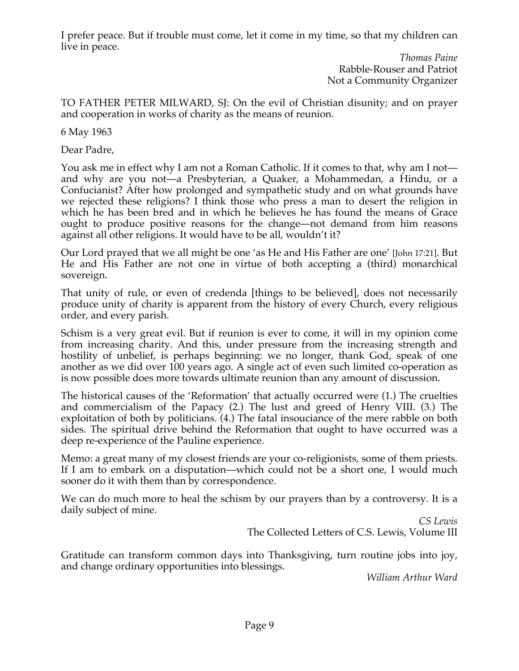I prefer peace. But if trouble must come, let it come in my time, so that my children can live in peace.

*Thomas Paine* Rabble-Rouser and Patriot Not a Community Organizer

TO FATHER PETER MILWARD, SJ: On the evil of Christian disunity; and on prayer and cooperation in works of charity as the means of reunion.

6 May 1963

Dear Padre,

You ask me in effect why I am not a Roman Catholic. If it comes to that, why am I not and why are you not—a Presbyterian, a Quaker, a Mohammedan, a Hindu, or a Confucianist? After how prolonged and sympathetic study and on what grounds have we rejected these religions? I think those who press a man to desert the religion in which he has been bred and in which he believes he has found the means of Grace ought to produce positive reasons for the change—not demand from him reasons against all other religions. It would have to be all, wouldn't it?

Our Lord prayed that we all might be one 'as He and His Father are one' [John 17:21]. But He and His Father are not one in virtue of both accepting a (third) monarchical sovereign.

That unity of rule, or even of credenda [things to be believed], does not necessarily produce unity of charity is apparent from the history of every Church, every religious order, and every parish.

Schism is a very great evil. But if reunion is ever to come, it will in my opinion come from increasing charity. And this, under pressure from the increasing strength and hostility of unbelief, is perhaps beginning: we no longer, thank God, speak of one another as we did over 100 years ago. A single act of even such limited co-operation as is now possible does more towards ultimate reunion than any amount of discussion.

The historical causes of the 'Reformation' that actually occurred were (1.) The cruelties and commercialism of the Papacy (2.) The lust and greed of Henry VIII. (3.) The exploitation of both by politicians. (4.) The fatal insouciance of the mere rabble on both sides. The spiritual drive behind the Reformation that ought to have occurred was a deep re-experience of the Pauline experience.

Memo: a great many of my closest friends are your co-religionists, some of them priests. If I am to embark on a disputation—which could not be a short one, I would much sooner do it with them than by correspondence.

We can do much more to heal the schism by our prayers than by a controversy. It is a daily subject of mine.

*CS Lewis* The Collected Letters of C.S. Lewis, Volume III

Gratitude can transform common days into Thanksgiving, turn routine jobs into joy, and change ordinary opportunities into blessings.

*William Arthur Ward*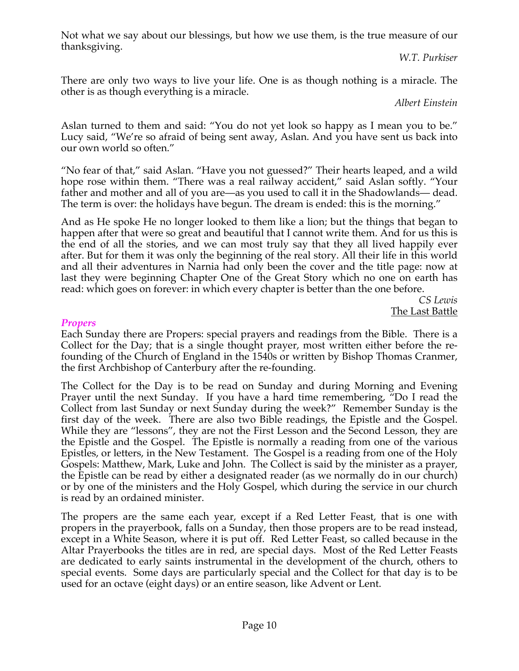Not what we say about our blessings, but how we use them, is the true measure of our thanksgiving.

*W.T. Purkiser*

There are only two ways to live your life. One is as though nothing is a miracle. The other is as though everything is a miracle.

*Albert Einstein*

Aslan turned to them and said: "You do not yet look so happy as I mean you to be." Lucy said, "We're so afraid of being sent away, Aslan. And you have sent us back into our own world so often."

"No fear of that," said Aslan. "Have you not guessed?" Their hearts leaped, and a wild hope rose within them. "There was a real railway accident," said Aslan softly. "Your father and mother and all of you are—as you used to call it in the Shadowlands— dead. The term is over: the holidays have begun. The dream is ended: this is the morning."

And as He spoke He no longer looked to them like a lion; but the things that began to happen after that were so great and beautiful that I cannot write them. And for us this is the end of all the stories, and we can most truly say that they all lived happily ever after. But for them it was only the beginning of the real story. All their life in this world and all their adventures in Narnia had only been the cover and the title page: now at last they were beginning Chapter One of the Great Story which no one on earth has read: which goes on forever: in which every chapter is better than the one before.

*CS Lewis* The Last Battle

#### *Propers*

Each Sunday there are Propers: special prayers and readings from the Bible. There is a Collect for the Day; that is a single thought prayer, most written either before the refounding of the Church of England in the 1540s or written by Bishop Thomas Cranmer, the first Archbishop of Canterbury after the re-founding.

The Collect for the Day is to be read on Sunday and during Morning and Evening Prayer until the next Sunday. If you have a hard time remembering, "Do I read the Collect from last Sunday or next Sunday during the week?" Remember Sunday is the first day of the week. There are also two Bible readings, the Epistle and the Gospel. While they are "lessons", they are not the First Lesson and the Second Lesson, they are the Epistle and the Gospel. The Epistle is normally a reading from one of the various Epistles, or letters, in the New Testament. The Gospel is a reading from one of the Holy Gospels: Matthew, Mark, Luke and John. The Collect is said by the minister as a prayer, the Epistle can be read by either a designated reader (as we normally do in our church) or by one of the ministers and the Holy Gospel, which during the service in our church is read by an ordained minister.

The propers are the same each year, except if a Red Letter Feast, that is one with propers in the prayerbook, falls on a Sunday, then those propers are to be read instead, except in a White Season, where it is put off. Red Letter Feast, so called because in the Altar Prayerbooks the titles are in red, are special days. Most of the Red Letter Feasts are dedicated to early saints instrumental in the development of the church, others to special events. Some days are particularly special and the Collect for that day is to be used for an octave (eight days) or an entire season, like Advent or Lent.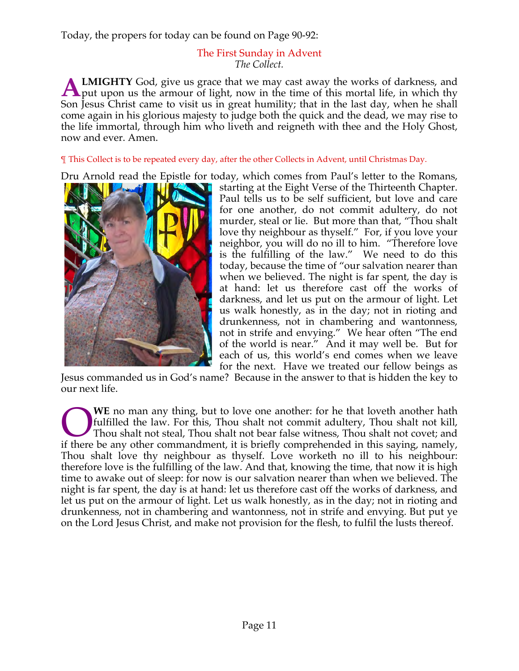Today, the propers for today can be found on Page 90-92:

## The First Sunday in Advent *The Collect.*

**LMIGHTY** God, give us grace that we may cast away the works of darkness, and **ALMIGHTY** God, give us grace that we may cast away the works of darkness, and put upon us the armour of light, now in the time of this mortal life, in which thy Son Jesus Christ came to visit us in great humility; that in the last day, when he shall come again in his glorious majesty to judge both the quick and the dead, we may rise to the life immortal, through him who liveth and reigneth with thee and the Holy Ghost, now and ever. Amen.

## ¶ This Collect is to be repeated every day, after the other Collects in Advent, until Christmas Day.

Dru Arnold read the Epistle for today, which comes from Paul's letter to the Romans,



starting at the Eight Verse of the Thirteenth Chapter. Paul tells us to be self sufficient, but love and care for one another, do not commit adultery, do not murder, steal or lie. But more than that, "Thou shalt love thy neighbour as thyself." For, if you love your neighbor, you will do no ill to him. "Therefore love is the fulfilling of the law." We need to do this today, because the time of "our salvation nearer than when we believed. The night is far spent, the day is at hand: let us therefore cast off the works of darkness, and let us put on the armour of light. Let us walk honestly, as in the day; not in rioting and drunkenness, not in chambering and wantonness, not in strife and envying." We hear often "The end of the world is near." And it may well be. But for each of us, this world's end comes when we leave for the next. Have we treated our fellow beings as

Jesus commanded us in God's name? Because in the answer to that is hidden the key to our next life.

**WE** no man any thing, but to love one another: for he that loveth another hath fulfilled the law. For this, Thou shalt not commit adultery, Thou shalt not kill, Thou shalt not steal, Thou shalt not bear false witness, Thou shalt not covet; and WE no man any thing, but to love one another: for he that loveth another hath fulfilled the law. For this, Thou shalt not commit adultery, Thou shalt not kill, Thou shalt not steal, Thou shalt not bear false witness, Thou Thou shalt love thy neighbour as thyself. Love worketh no ill to his neighbour: therefore love is the fulfilling of the law. And that, knowing the time, that now it is high time to awake out of sleep: for now is our salvation nearer than when we believed. The night is far spent, the day is at hand: let us therefore cast off the works of darkness, and let us put on the armour of light. Let us walk honestly, as in the day; not in rioting and drunkenness, not in chambering and wantonness, not in strife and envying. But put ye on the Lord Jesus Christ, and make not provision for the flesh, to fulfil the lusts thereof.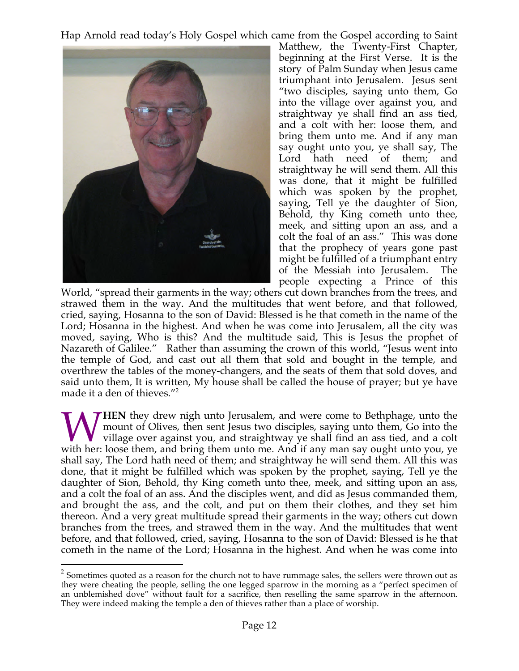Hap Arnold read today's Holy Gospel which came from the Gospel according to Saint



Matthew, the Twenty-First Chapter, beginning at the First Verse. It is the story of Palm Sunday when Jesus came triumphant into Jerusalem. Jesus sent "two disciples, saying unto them, Go into the village over against you, and straightway ye shall find an ass tied, and a colt with her: loose them, and bring them unto me. And if any man say ought unto you, ye shall say, The Lord hath need of them; and straightway he will send them. All this was done, that it might be fulfilled which was spoken by the prophet, saying, Tell ye the daughter of Sion, Behold, thy King cometh unto thee, meek, and sitting upon an ass, and a colt the foal of an ass." This was done that the prophecy of years gone past might be fulfilled of a triumphant entry of the Messiah into Jerusalem. The people expecting a Prince of this

World, "spread their garments in the way; others cut down branches from the trees, and strawed them in the way. And the multitudes that went before, and that followed, cried, saying, Hosanna to the son of David: Blessed is he that cometh in the name of the Lord; Hosanna in the highest. And when he was come into Jerusalem, all the city was moved, saying, Who is this? And the multitude said, This is Jesus the prophet of Nazareth of Galilee." Rather than assuming the crown of this world, "Jesus went into the temple of God, and cast out all them that sold and bought in the temple, and overthrew the tables of the money-changers, and the seats of them that sold doves, and said unto them, It is written, My house shall be called the house of prayer; but ye have made it a den of thieves."<sup>2</sup>

**HEN** they drew nigh unto Jerusalem, and were come to Bethphage, unto the mount of Olives, then sent Jesus two disciples, saying unto them, Go into the village over against you, and straightway ye shall find an ass tied, and a colt WHEN they drew nigh unto Jerusalem, and were come to Bethphage, unto the mount of Olives, then sent Jesus two disciples, saying unto them, Go into the village over against you, and straightway ye shall find an ass tied, an shall say, The Lord hath need of them; and straightway he will send them. All this was done, that it might be fulfilled which was spoken by the prophet, saying, Tell ye the daughter of Sion, Behold, thy King cometh unto thee, meek, and sitting upon an ass, and a colt the foal of an ass. And the disciples went, and did as Jesus commanded them, and brought the ass, and the colt, and put on them their clothes, and they set him thereon. And a very great multitude spread their garments in the way; others cut down branches from the trees, and strawed them in the way. And the multitudes that went before, and that followed, cried, saying, Hosanna to the son of David: Blessed is he that cometh in the name of the Lord; Hosanna in the highest. And when he was come into

 $2$  Sometimes quoted as a reason for the church not to have rummage sales, the sellers were thrown out as they were cheating the people, selling the one legged sparrow in the morning as a "perfect specimen of an unblemished dove" without fault for a sacrifice, then reselling the same sparrow in the afternoon. They were indeed making the temple a den of thieves rather than a place of worship.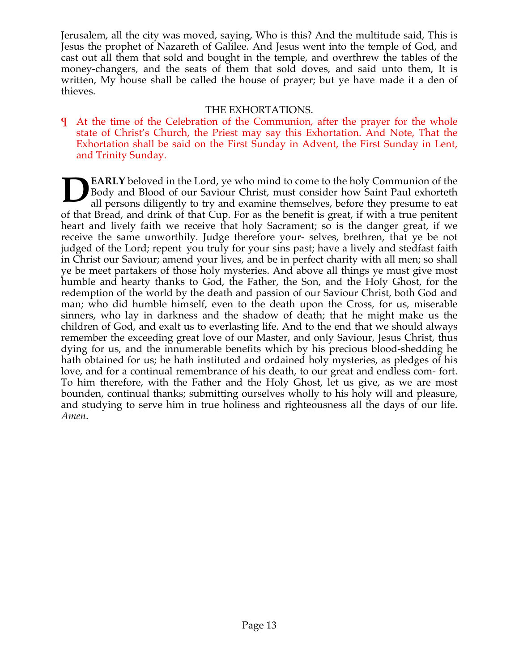Jerusalem, all the city was moved, saying, Who is this? And the multitude said, This is Jesus the prophet of Nazareth of Galilee. And Jesus went into the temple of God, and cast out all them that sold and bought in the temple, and overthrew the tables of the money-changers, and the seats of them that sold doves, and said unto them, It is written, My house shall be called the house of prayer; but ye have made it a den of thieves.

#### THE EXHORTATIONS.

¶ At the time of the Celebration of the Communion, after the prayer for the whole state of Christ's Church, the Priest may say this Exhortation. And Note, That the Exhortation shall be said on the First Sunday in Advent, the First Sunday in Lent, and Trinity Sunday.

**EARLY** beloved in the Lord, ye who mind to come to the holy Communion of the Body and Blood of our Saviour Christ, must consider how Saint Paul exhorteth all persons diligently to try and examine themselves, before they presume to eat of that Bread, and drink of that Cup. For as the benefit is great, if with a true penitent heart and lively faith we receive that holy Sacrament; so is the danger great, if we receive the same unworthily. Judge therefore your- selves, brethren, that ye be not judged of the Lord; repent you truly for your sins past; have a lively and stedfast faith in Christ our Saviour; amend your lives, and be in perfect charity with all men; so shall ye be meet partakers of those holy mysteries. And above all things ye must give most humble and hearty thanks to God, the Father, the Son, and the Holy Ghost, for the redemption of the world by the death and passion of our Saviour Christ, both God and man; who did humble himself, even to the death upon the Cross, for us, miserable sinners, who lay in darkness and the shadow of death; that he might make us the children of God, and exalt us to everlasting life. And to the end that we should always remember the exceeding great love of our Master, and only Saviour, Jesus Christ, thus dying for us, and the innumerable benefits which by his precious blood-shedding he hath obtained for us; he hath instituted and ordained holy mysteries, as pledges of his love, and for a continual remembrance of his death, to our great and endless com- fort. To him therefore, with the Father and the Holy Ghost, let us give, as we are most bounden, continual thanks; submitting ourselves wholly to his holy will and pleasure, and studying to serve him in true holiness and righteousness all the days of our life. *Amen*. **D**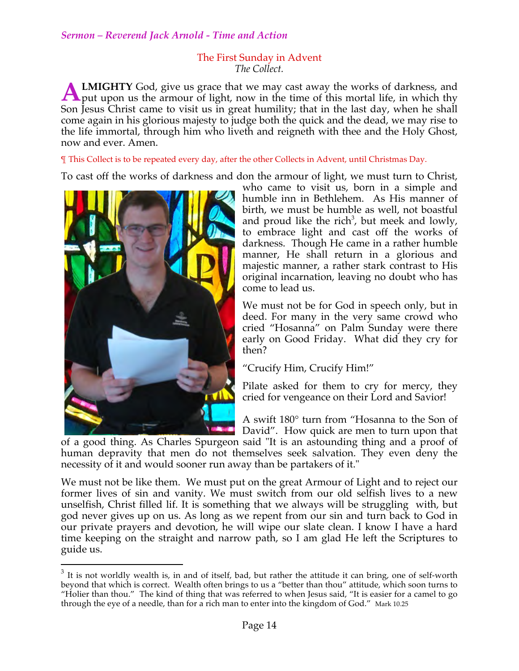## *Sermon – Reverend Jack Arnold - Time and Action*

#### The First Sunday in Advent *The Collect.*

**LMIGHTY** God, give us grace that we may cast away the works of darkness, and put upon us the armour of light, now in the time of this mortal life, in which thy Son Jesus Christ came to visit us in great humility; that in the last day, when he shall come again in his glorious majesty to judge both the quick and the dead, we may rise to the life immortal, through him who liveth and reigneth with thee and the Holy Ghost, now and ever. Amen. **A**

¶ This Collect is to be repeated every day, after the other Collects in Advent, until Christmas Day.

To cast off the works of darkness and don the armour of light, we must turn to Christ,



who came to visit us, born in a simple and humble inn in Bethlehem. As His manner of birth, we must be humble as well, not boastful and proud like the rich<sup>3</sup>, but meek and lowly, to embrace light and cast off the works of darkness. Though He came in a rather humble manner, He shall return in a glorious and majestic manner, a rather stark contrast to His original incarnation, leaving no doubt who has come to lead us.

We must not be for God in speech only, but in deed. For many in the very same crowd who cried "Hosanna" on Palm Sunday were there early on Good Friday. What did they cry for then?

"Crucify Him, Crucify Him!"

Pilate asked for them to cry for mercy, they cried for vengeance on their Lord and Savior!

A swift 180° turn from "Hosanna to the Son of David". How quick are men to turn upon that

of a good thing. As Charles Spurgeon said "It is an astounding thing and a proof of human depravity that men do not themselves seek salvation. They even deny the necessity of it and would sooner run away than be partakers of it."

We must not be like them. We must put on the great Armour of Light and to reject our former lives of sin and vanity. We must switch from our old selfish lives to a new unselfish, Christ filled lif. It is something that we always will be struggling with, but god never gives up on us. As long as we repent from our sin and turn back to God in our private prayers and devotion, he will wipe our slate clean. I know I have a hard time keeping on the straight and narrow path, so I am glad He left the Scriptures to guide us.

 $3$  It is not worldly wealth is, in and of itself, bad, but rather the attitude it can bring, one of self-worth beyond that which is correct. Wealth often brings to us a "better than thou" attitude, which soon turns to "Holier than thou." The kind of thing that was referred to when Jesus said, "It is easier for a camel to go through the eye of a needle, than for a rich man to enter into the kingdom of God." Mark 10.25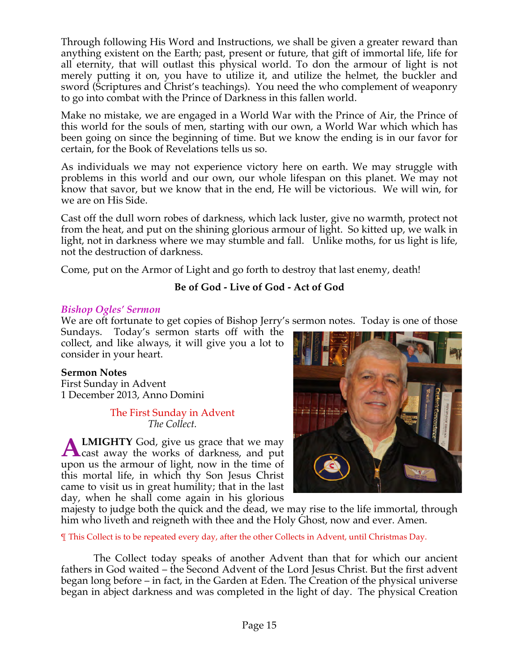Through following His Word and Instructions, we shall be given a greater reward than anything existent on the Earth; past, present or future, that gift of immortal life, life for all eternity, that will outlast this physical world. To don the armour of light is not merely putting it on, you have to utilize it, and utilize the helmet, the buckler and sword (Scriptures and Christ's teachings). You need the who complement of weaponry to go into combat with the Prince of Darkness in this fallen world.

Make no mistake, we are engaged in a World War with the Prince of Air, the Prince of this world for the souls of men, starting with our own, a World War which which has been going on since the beginning of time. But we know the ending is in our favor for certain, for the Book of Revelations tells us so.

As individuals we may not experience victory here on earth. We may struggle with problems in this world and our own, our whole lifespan on this planet. We may not know that savor, but we know that in the end, He will be victorious. We will win, for we are on His Side.

Cast off the dull worn robes of darkness, which lack luster, give no warmth, protect not from the heat, and put on the shining glorious armour of light. So kitted up, we walk in light, not in darkness where we may stumble and fall. Unlike moths, for us light is life, not the destruction of darkness.

Come, put on the Armor of Light and go forth to destroy that last enemy, death!

## **Be of God - Live of God - Act of God**

## *Bishop Ogles' Sermon*

We are oft fortunate to get copies of Bishop Jerry's sermon notes. Today is one of those Sundays. Today's sermon starts off with the

collect, and like always, it will give you a lot to consider in your heart.

#### **Sermon Notes**

First Sunday in Advent 1 December 2013, Anno Domini

## The First Sunday in Advent *The Collect.*

**LMIGHTY** God, give us grace that we may **ALMIGHTY** God, give us grace that we may<br>cast away the works of darkness, and put upon us the armour of light, now in the time of this mortal life, in which thy Son Jesus Christ came to visit us in great humility; that in the last day, when he shall come again in his glorious



majesty to judge both the quick and the dead, we may rise to the life immortal, through him who liveth and reigneth with thee and the Holy Ghost, now and ever. Amen.

¶ This Collect is to be repeated every day, after the other Collects in Advent, until Christmas Day.

 The Collect today speaks of another Advent than that for which our ancient fathers in God waited – the Second Advent of the Lord Jesus Christ. But the first advent began long before – in fact, in the Garden at Eden. The Creation of the physical universe began in abject darkness and was completed in the light of day. The physical Creation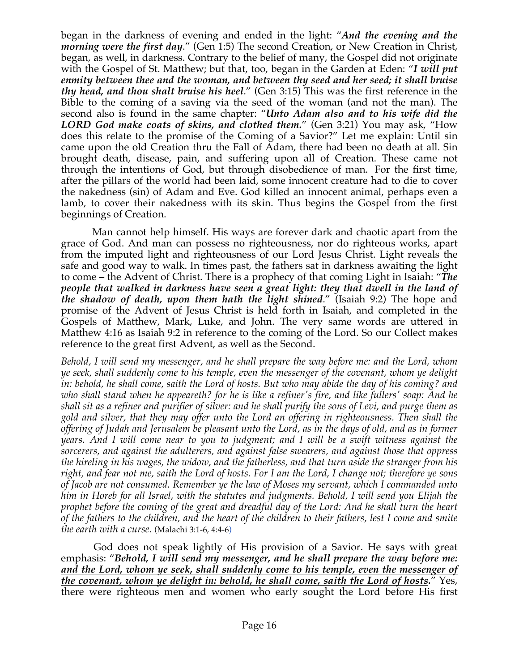began in the darkness of evening and ended in the light: "*And the evening and the morning were the first day*." (Gen 1:5) The second Creation, or New Creation in Christ, began, as well, in darkness. Contrary to the belief of many, the Gospel did not originate with the Gospel of St. Matthew; but that, too, began in the Garden at Eden: "*I will put enmity between thee and the woman, and between thy seed and her seed; it shall bruise thy head, and thou shalt bruise his heel*." (Gen 3:15) This was the first reference in the Bible to the coming of a saving via the seed of the woman (and not the man). The second also is found in the same chapter: "*Unto Adam also and to his wife did the LORD God make coats of skins, and clothed them.*" (Gen 3:21) You may ask, "How does this relate to the promise of the Coming of a Savior?" Let me explain: Until sin came upon the old Creation thru the Fall of Adam, there had been no death at all. Sin brought death, disease, pain, and suffering upon all of Creation. These came not through the intentions of God, but through disobedience of man. For the first time, after the pillars of the world had been laid, some innocent creature had to die to cover the nakedness (sin) of Adam and Eve. God killed an innocent animal, perhaps even a lamb, to cover their nakedness with its skin. Thus begins the Gospel from the first beginnings of Creation.

 Man cannot help himself. His ways are forever dark and chaotic apart from the grace of God. And man can possess no righteousness, nor do righteous works, apart from the imputed light and righteousness of our Lord Jesus Christ. Light reveals the safe and good way to walk. In times past, the fathers sat in darkness awaiting the light to come – the Advent of Christ. There is a prophecy of that coming Light in Isaiah: "*The people that walked in darkness have seen a great light: they that dwell in the land of the shadow of death, upon them hath the light shined*." (Isaiah 9:2) The hope and promise of the Advent of Jesus Christ is held forth in Isaiah, and completed in the Gospels of Matthew, Mark, Luke, and John. The very same words are uttered in Matthew 4:16 as Isaiah 9:2 in reference to the coming of the Lord. So our Collect makes reference to the great first Advent, as well as the Second.

*Behold, I will send my messenger, and he shall prepare the way before me: and the Lord, whom ye seek, shall suddenly come to his temple, even the messenger of the covenant, whom ye delight*  in: behold, he shall come, saith the Lord of hosts. But who may abide the day of his coming? and *who shall stand when he appeareth? for he is like a refiner's fire, and like fullers' soap: And he shall sit as a refiner and purifier of silver: and he shall purify the sons of Levi, and purge them as gold and silver, that they may offer unto the Lord an offering in righteousness. Then shall the offering of Judah and Jerusalem be pleasant unto the Lord, as in the days of old, and as in former years. And I will come near to you to judgment; and I will be a swift witness against the sorcerers, and against the adulterers, and against false swearers, and against those that oppress the hireling in his wages, the widow, and the fatherless, and that turn aside the stranger from his right, and fear not me, saith the Lord of hosts. For I am the Lord, I change not; therefore ye sons of Jacob are not consumed. Remember ye the law of Moses my servant, which I commanded unto him in Horeb for all Israel, with the statutes and judgments. Behold, I will send you Elijah the prophet before the coming of the great and dreadful day of the Lord: And he shall turn the heart of the fathers to the children, and the heart of the children to their fathers, lest I come and smite the earth with a curse*. (Malachi 3:1-6, 4:4-6)

 God does not speak lightly of His provision of a Savior. He says with great emphasis: "*Behold, I will send my messenger, and he shall prepare the way before me: and the Lord, whom ye seek, shall suddenly come to his temple, even the messenger of the covenant, whom ye delight in: behold, he shall come, saith the Lord of hosts.*" Yes, there were righteous men and women who early sought the Lord before His first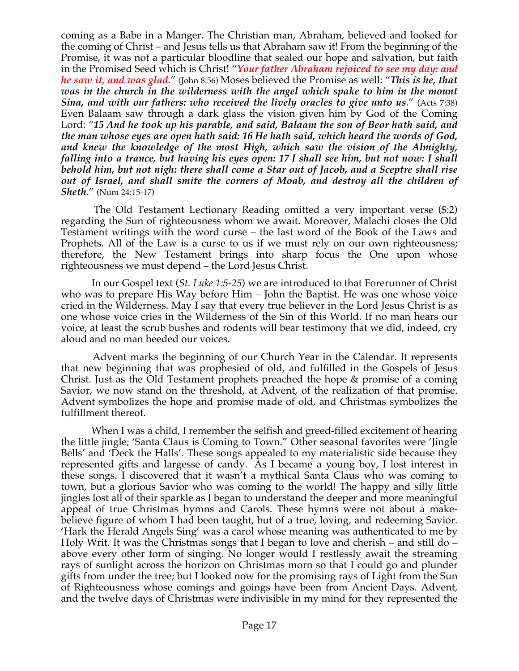coming as a Babe in a Manger. The Christian man, Abraham, believed and looked for the coming of Christ – and Jesus tells us that Abraham saw it! From the beginning of the Promise, it was not a particular bloodline that sealed our hope and salvation, but faith in the Promised Seed which is Christ! "*Your father Abraham rejoiced to see my day: and he saw it, and was glad*." (John 8:56) Moses believed the Promise as well: "*This is he, that*  was in the church in the wilderness with the angel which spake to him in the mount *Sina, and with our fathers: who received the lively oracles to give unto us*." (Acts 7:38) Even Balaam saw through a dark glass the vision given him by God of the Coming Lord: "*15 And he took up his parable, and said, Balaam the son of Beor hath said, and the man whose eyes are open hath said: 16 He hath said, which heard the words of God, and knew the knowledge of the most High, which saw the vision of the Almighty, falling into a trance, but having his eyes open: 17 I shall see him, but not now: I shall behold him, but not nigh: there shall come a Star out of Jacob, and a Sceptre shall rise*  out of Israel, and shall smite the corners of Moab, and destroy all the children of *Sheth*." (Num 24:15-17)

 The Old Testament Lectionary Reading omitted a very important verse (\$:2) regarding the Sun of righteousness whom we await. Moreover, Malachi closes the Old Testament writings with the word curse – the last word of the Book of the Laws and Prophets. All of the Law is a curse to us if we must rely on our own righteousness; therefore, the New Testament brings into sharp focus the One upon whose righteousness we must depend – the Lord Jesus Christ.

 In our Gospel text (*St. Luke 1:5-25*) we are introduced to that Forerunner of Christ who was to prepare His Way before Him – John the Baptist. He was one whose voice cried in the Wilderness. May I say that every true believer in the Lord Jesus Christ is as one whose voice cries in the Wilderness of the Sin of this World. If no man hears our voice, at least the scrub bushes and rodents will bear testimony that we did, indeed, cry aloud and no man heeded our voices.

 Advent marks the beginning of our Church Year in the Calendar. It represents that new beginning that was prophesied of old, and fulfilled in the Gospels of Jesus Christ. Just as the Old Testament prophets preached the hope & promise of a coming Savior, we now stand on the threshold, at Advent, of the realization of that promise. Advent symbolizes the hope and promise made of old, and Christmas symbolizes the fulfillment thereof.

 When I was a child, I remember the selfish and greed-filled excitement of hearing the little jingle; 'Santa Claus is Coming to Town." Other seasonal favorites were 'Jingle Bells' and 'Deck the Halls'. These songs appealed to my materialistic side because they represented gifts and largesse of candy. As I became a young boy, I lost interest in these songs. I discovered that it wasn't a mythical Santa Claus who was coming to town, but a glorious Savior who was coming to the world! The happy and silly little jingles lost all of their sparkle as I began to understand the deeper and more meaningful appeal of true Christmas hymns and Carols. These hymns were not about a makebelieve figure of whom I had been taught, but of a true, loving, and redeeming Savior. 'Hark the Herald Angels Sing' was a carol whose meaning was authenticated to me by Holy Writ. It was the Christmas songs that I began to love and cherish – and still do – above every other form of singing. No longer would I restlessly await the streaming rays of sunlight across the horizon on Christmas morn so that I could go and plunder gifts from under the tree; but I looked now for the promising rays of Light from the Sun of Righteousness whose comings and goings have been from Ancient Days. Advent, and the twelve days of Christmas were indivisible in my mind for they represented the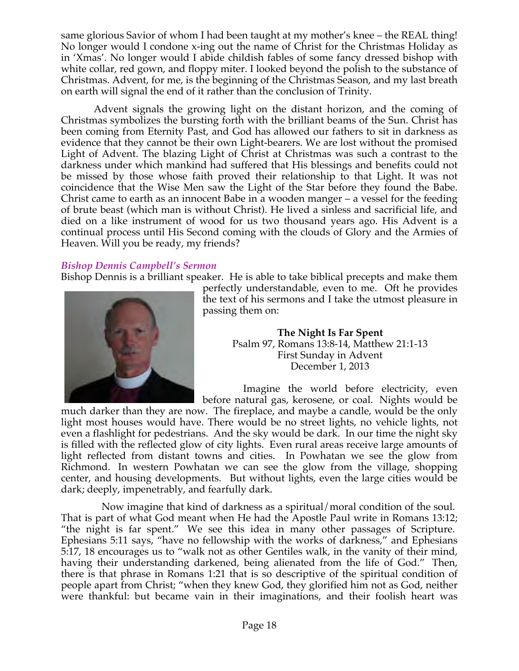same glorious Savior of whom I had been taught at my mother's knee – the REAL thing! No longer would I condone x-ing out the name of Christ for the Christmas Holiday as in 'Xmas'. No longer would I abide childish fables of some fancy dressed bishop with white collar, red gown, and floppy miter. I looked beyond the polish to the substance of Christmas. Advent, for me, is the beginning of the Christmas Season, and my last breath on earth will signal the end of it rather than the conclusion of Trinity.

 Advent signals the growing light on the distant horizon, and the coming of Christmas symbolizes the bursting forth with the brilliant beams of the Sun. Christ has been coming from Eternity Past, and God has allowed our fathers to sit in darkness as evidence that they cannot be their own Light-bearers. We are lost without the promised Light of Advent. The blazing Light of Christ at Christmas was such a contrast to the darkness under which mankind had suffered that His blessings and benefits could not be missed by those whose faith proved their relationship to that Light. It was not coincidence that the Wise Men saw the Light of the Star before they found the Babe. Christ came to earth as an innocent Babe in a wooden manger – a vessel for the feeding of brute beast (which man is without Christ). He lived a sinless and sacrificial life, and died on a like instrument of wood for us two thousand years ago. His Advent is a continual process until His Second coming with the clouds of Glory and the Armies of Heaven. Will you be ready, my friends?

## *Bishop Dennis Campbell's Sermon*

Bishop Dennis is a brilliant speaker. He is able to take biblical precepts and make them



perfectly understandable, even to me. Oft he provides the text of his sermons and I take the utmost pleasure in passing them on:

> **The Night Is Far Spent** Psalm 97, Romans 13:8-14, Matthew 21:1-13 First Sunday in Advent December 1, 2013

Imagine the world before electricity, even before natural gas, kerosene, or coal. Nights would be

much darker than they are now. The fireplace, and maybe a candle, would be the only light most houses would have. There would be no street lights, no vehicle lights, not even a flashlight for pedestrians. And the sky would be dark. In our time the night sky is filled with the reflected glow of city lights. Even rural areas receive large amounts of light reflected from distant towns and cities. In Powhatan we see the glow from Richmond. In western Powhatan we can see the glow from the village, shopping center, and housing developments. But without lights, even the large cities would be dark; deeply, impenetrably, and fearfully dark.

Now imagine that kind of darkness as a spiritual/moral condition of the soul. That is part of what God meant when He had the Apostle Paul write in Romans 13:12; "the night is far spent." We see this idea in many other passages of Scripture. Ephesians 5:11 says, "have no fellowship with the works of darkness," and Ephesians 5:17, 18 encourages us to "walk not as other Gentiles walk, in the vanity of their mind, having their understanding darkened, being alienated from the life of God." Then, there is that phrase in Romans 1:21 that is so descriptive of the spiritual condition of people apart from Christ; "when they knew God, they glorified him not as God, neither were thankful: but became vain in their imaginations, and their foolish heart was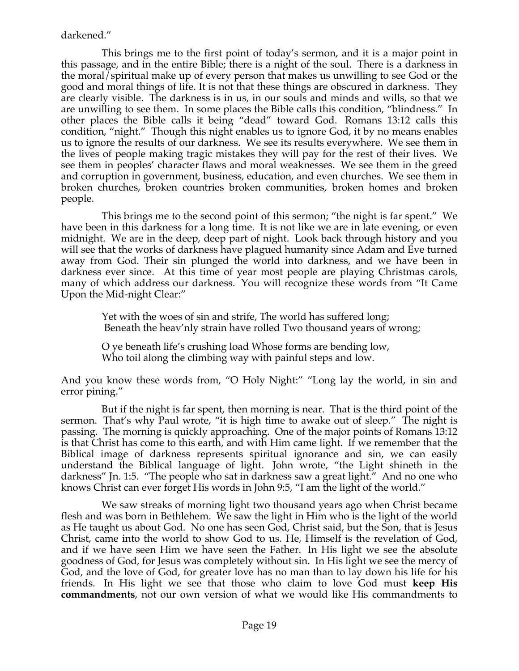#### darkened."

This brings me to the first point of today's sermon, and it is a major point in this passage, and in the entire Bible; there is a night of the soul. There is a darkness in the moral/spiritual make up of every person that makes us unwilling to see God or the good and moral things of life. It is not that these things are obscured in darkness. They are clearly visible. The darkness is in us, in our souls and minds and wills, so that we are unwilling to see them. In some places the Bible calls this condition, "blindness." In other places the Bible calls it being "dead" toward God. Romans 13:12 calls this condition, "night." Though this night enables us to ignore God, it by no means enables us to ignore the results of our darkness. We see its results everywhere. We see them in the lives of people making tragic mistakes they will pay for the rest of their lives. We see them in peoples' character flaws and moral weaknesses. We see them in the greed and corruption in government, business, education, and even churches. We see them in broken churches, broken countries broken communities, broken homes and broken people.

This brings me to the second point of this sermon; "the night is far spent." We have been in this darkness for a long time. It is not like we are in late evening, or even midnight. We are in the deep, deep part of night. Look back through history and you will see that the works of darkness have plagued humanity since Adam and Eve turned away from God. Their sin plunged the world into darkness, and we have been in darkness ever since. At this time of year most people are playing Christmas carols, many of which address our darkness. You will recognize these words from "It Came Upon the Mid-night Clear:"

> Yet with the woes of sin and strife, The world has suffered long; Beneath the heav'nly strain have rolled Two thousand years of wrong;

O ye beneath life's crushing load Whose forms are bending low, Who toil along the climbing way with painful steps and low.

And you know these words from, "O Holy Night:" "Long lay the world, in sin and error pining."

But if the night is far spent, then morning is near. That is the third point of the sermon. That's why Paul wrote, "it is high time to awake out of sleep." The night is passing. The morning is quickly approaching. One of the major points of Romans 13:12 is that Christ has come to this earth, and with Him came light. If we remember that the Biblical image of darkness represents spiritual ignorance and sin, we can easily understand the Biblical language of light. John wrote, "the Light shineth in the darkness" Jn. 1:5. "The people who sat in darkness saw a great light." And no one who knows Christ can ever forget His words in John 9:5, "I am the light of the world."

We saw streaks of morning light two thousand years ago when Christ became flesh and was born in Bethlehem. We saw the light in Him who is the light of the world as He taught us about God. No one has seen God, Christ said, but the Son, that is Jesus Christ, came into the world to show God to us. He, Himself is the revelation of God, and if we have seen Him we have seen the Father. In His light we see the absolute goodness of God, for Jesus was completely without sin. In His light we see the mercy of God, and the love of God, for greater love has no man than to lay down his life for his friends. In His light we see that those who claim to love God must **keep His commandments**, not our own version of what we would like His commandments to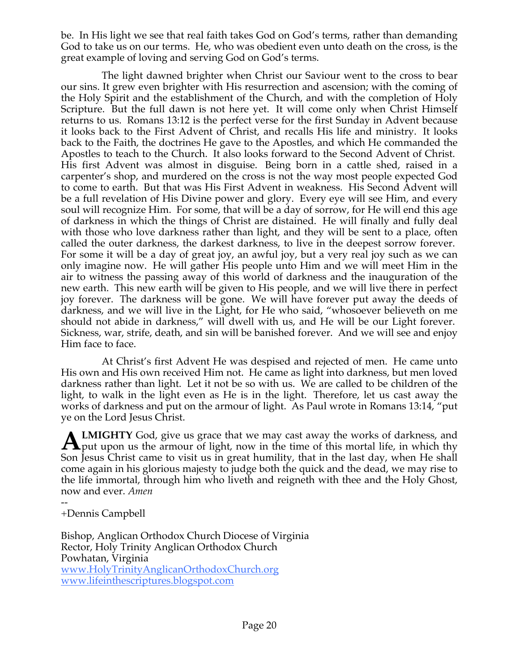be. In His light we see that real faith takes God on God's terms, rather than demanding God to take us on our terms. He, who was obedient even unto death on the cross, is the great example of loving and serving God on God's terms.

The light dawned brighter when Christ our Saviour went to the cross to bear our sins. It grew even brighter with His resurrection and ascension; with the coming of the Holy Spirit and the establishment of the Church, and with the completion of Holy Scripture. But the full dawn is not here yet. It will come only when Christ Himself returns to us. Romans 13:12 is the perfect verse for the first Sunday in Advent because it looks back to the First Advent of Christ, and recalls His life and ministry. It looks back to the Faith, the doctrines He gave to the Apostles, and which He commanded the Apostles to teach to the Church. It also looks forward to the Second Advent of Christ. His first Advent was almost in disguise. Being born in a cattle shed, raised in a carpenter's shop, and murdered on the cross is not the way most people expected God to come to earth. But that was His First Advent in weakness. His Second Advent will be a full revelation of His Divine power and glory. Every eye will see Him, and every soul will recognize Him. For some, that will be a day of sorrow, for He will end this age of darkness in which the things of Christ are distained. He will finally and fully deal with those who love darkness rather than light, and they will be sent to a place, often called the outer darkness, the darkest darkness, to live in the deepest sorrow forever. For some it will be a day of great joy, an awful joy, but a very real joy such as we can only imagine now. He will gather His people unto Him and we will meet Him in the air to witness the passing away of this world of darkness and the inauguration of the new earth. This new earth will be given to His people, and we will live there in perfect joy forever. The darkness will be gone. We will have forever put away the deeds of darkness, and we will live in the Light, for He who said, "whosoever believeth on me should not abide in darkness," will dwell with us, and He will be our Light forever. Sickness, war, strife, death, and sin will be banished forever. And we will see and enjoy Him face to face.

At Christ's first Advent He was despised and rejected of men. He came unto His own and His own received Him not. He came as light into darkness, but men loved darkness rather than light. Let it not be so with us. We are called to be children of the light, to walk in the light even as He is in the light. Therefore, let us cast away the works of darkness and put on the armour of light. As Paul wrote in Romans 13:14, "put ye on the Lord Jesus Christ.

**LMIGHTY** God, give us grace that we may cast away the works of darkness, and **ALMIGHTY** God, give us grace that we may cast away the works of darkness, and put upon us the armour of light, now in the time of this mortal life, in which thy Son Jesus Christ came to visit us in great humility, that in the last day, when He shall come again in his glorious majesty to judge both the quick and the dead, we may rise to the life immortal, through him who liveth and reigneth with thee and the Holy Ghost, now and ever. *Amen*

-- +Dennis Campbell

Bishop, Anglican Orthodox Church Diocese of Virginia Rector, Holy Trinity Anglican Orthodox Church Powhatan, Virginia www.HolyTrinityAnglicanOrthodoxChurch.org www.lifeinthescriptures.blogspot.com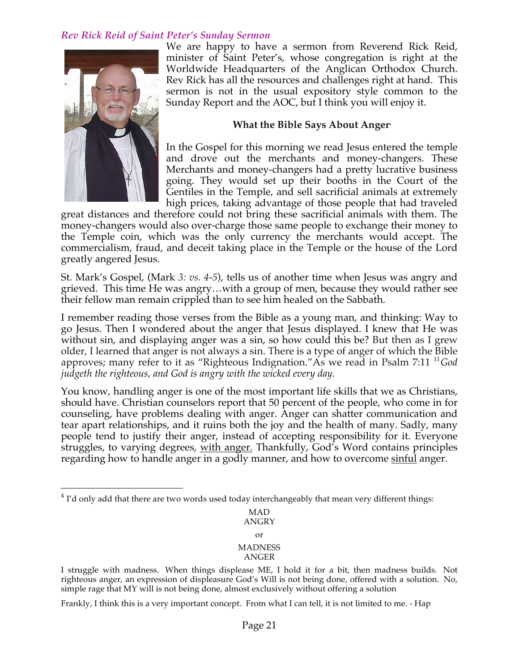## *Rev Rick Reid of Saint Peter's Sunday Sermon*



We are happy to have a sermon from Reverend Rick Reid, minister of Saint Peter's, whose congregation is right at the Worldwide Headquarters of the Anglican Orthodox Church. Rev Rick has all the resources and challenges right at hand. This sermon is not in the usual expository style common to the Sunday Report and the AOC, but I think you will enjoy it.

#### **What the Bible Says About Anger-**

In the Gospel for this morning we read Jesus entered the temple and drove out the merchants and money-changers. These Merchants and money-changers had a pretty lucrative business going. They would set up their booths in the Court of the Gentiles in the Temple, and sell sacrificial animals at extremely high prices, taking advantage of those people that had traveled

great distances and therefore could not bring these sacrificial animals with them. The money-changers would also over-charge those same people to exchange their money to the Temple coin, which was the only currency the merchants would accept. The commercialism, fraud, and deceit taking place in the Temple or the house of the Lord greatly angered Jesus.

St. Mark's Gospel, (Mark *3: vs. 4-5*), tells us of another time when Jesus was angry and grieved. This time He was angry…with a group of men, because they would rather see their fellow man remain crippled than to see him healed on the Sabbath.

I remember reading those verses from the Bible as a young man, and thinking: Way to go Jesus. Then I wondered about the anger that Jesus displayed. I knew that He was without sin, and displaying anger was a sin, so how could this be? But then as I grew older, I learned that anger is not always a sin. There is a type of anger of which the Bible approves; many refer to it as "Righteous Indignation."As we read in Psalm 7:11 <sup>11</sup>*God judgeth the righteous, and God is angry with the wicked every day.*

You know, handling anger is one of the most important life skills that we as Christians, should have. Christian counselors report that 50 percent of the people, who come in for counseling, have problems dealing with anger. Anger can shatter communication and tear apart relationships, and it ruins both the joy and the health of many. Sadly, many people tend to justify their anger, instead of accepting responsibility for it. Everyone struggles, to varying degrees, with anger. Thankfully, God's Word contains principles regarding how to handle anger in a godly manner, and how to overcome sinful anger.

#### MAD ANGRY or **MADNESS** ANGER

Frankly, I think this is a very important concept. From what I can tell, it is not limited to me. - Hap

 $4$  I'd only add that there are two words used today interchangeably that mean very different things:

I struggle with madness. When things displease ME, I hold it for a bit, then madness builds. Not righteous anger, an expression of displeasure God's Will is not being done, offered with a solution. No, simple rage that MY will is not being done, almost exclusively without offering a solution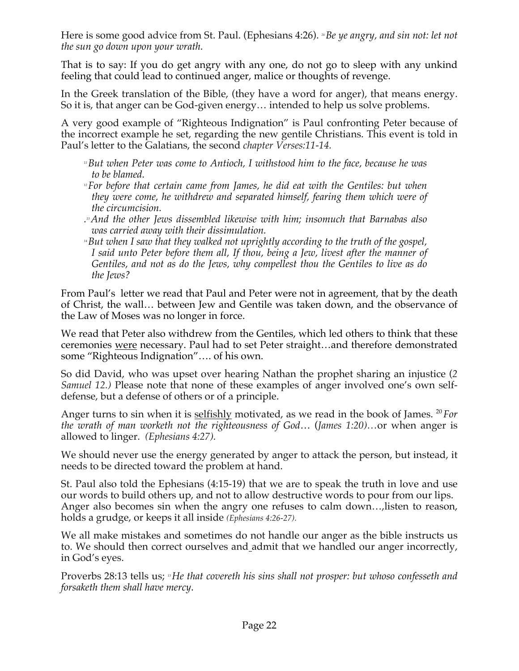Here is some good advice from St. Paul. (Ephesians 4:26). *<sup>8</sup>Be ye angry, and sin not: let not the sun go down upon your wrath.* 

That is to say: If you do get angry with any one, do not go to sleep with any unkind feeling that could lead to continued anger, malice or thoughts of revenge.

In the Greek translation of the Bible, (they have a word for anger), that means energy. So it is, that anger can be God-given energy… intended to help us solve problems.

A very good example of "Righteous Indignation" is Paul confronting Peter because of the incorrect example he set, regarding the new gentile Christians. This event is told in Paul's letter to the Galatians, the second *chapter Verses:11-14.*

- *11But when Peter was come to Antioch, I withstood him to the face, because he was to be blamed.*
- *12For before that certain came from James, he did eat with the Gentiles: but when they were come, he withdrew and separated himself, fearing them which were of the circumcision.*
- *. 13And the other Jews dissembled likewise with him; insomuch that Barnabas also was carried away with their dissimulation.*
- *14But when I saw that they walked not uprightly according to the truth of the gospel, I said unto Peter before them all, If thou, being a Jew, livest after the manner of Gentiles, and not as do the Jews, why compellest thou the Gentiles to live as do the Jews?*

From Paul's letter we read that Paul and Peter were not in agreement, that by the death of Christ, the wall… between Jew and Gentile was taken down, and the observance of the Law of Moses was no longer in force.

We read that Peter also withdrew from the Gentiles, which led others to think that these ceremonies were necessary. Paul had to set Peter straight…and therefore demonstrated some "Righteous Indignation"…. of his own.

So did David, who was upset over hearing Nathan the prophet sharing an injustice (*2 Samuel 12.)* Please note that none of these examples of anger involved one's own selfdefense, but a defense of others or of a principle.

Anger turns to sin when it is selfishly motivated, as we read in the book of James. <sup>20</sup> *For the wrath of man worketh not the righteousness of God*… (*James 1:20)…*or when anger is allowed to linger. *(Ephesians 4:27).*

We should never use the energy generated by anger to attack the person, but instead, it needs to be directed toward the problem at hand.

St. Paul also told the Ephesians (4:15-19) that we are to speak the truth in love and use our words to build others up, and not to allow destructive words to pour from our lips. Anger also becomes sin when the angry one refuses to calm down…,listen to reason, holds a grudge, or keeps it all inside *(Ephesians 4:26-27).*

We all make mistakes and sometimes do not handle our anger as the bible instructs us to. We should then correct ourselves and admit that we handled our anger incorrectly, in God's eyes.

Proverbs 28:13 tells us; <sup>1</sup>He that covereth his sins shall not prosper: but whoso confesseth and *forsaketh them shall have mercy*.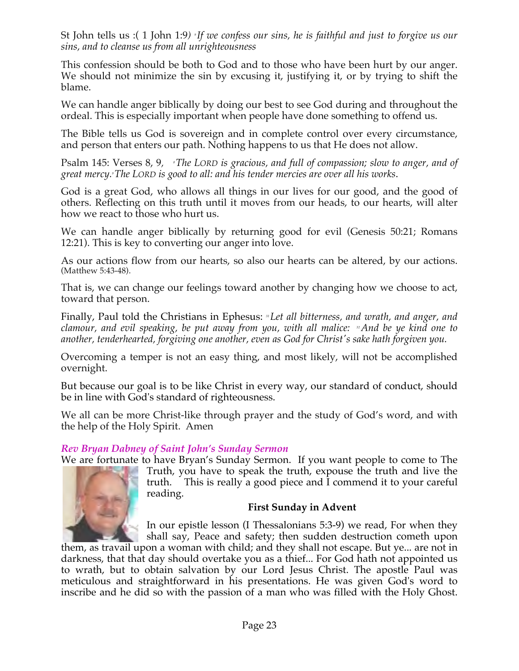St John tells us :( 1 John 1:9*) <sup>9</sup> If we confess our sins, he is faithful and just to forgive us our sins, and to cleanse us from all unrighteousness*

This confession should be both to God and to those who have been hurt by our anger. We should not minimize the sin by excusing it, justifying it, or by trying to shift the blame.

We can handle anger biblically by doing our best to see God during and throughout the ordeal. This is especially important when people have done something to offend us.

The Bible tells us God is sovereign and in complete control over every circumstance, and person that enters our path. Nothing happens to us that He does not allow.

Psalm 145: Verses 8, 9, The LORD is gracious, and full of compassion; slow to anger, and of *great mercy.9 The LORD is good to all: and his tender mercies are over all his works*.

God is a great God, who allows all things in our lives for our good, and the good of others. Reflecting on this truth until it moves from our heads, to our hearts, will alter how we react to those who hurt us.

We can handle anger biblically by returning good for evil (Genesis 50:21; Romans 12:21). This is key to converting our anger into love.

As our actions flow from our hearts, so also our hearts can be altered, by our actions. (Matthew 5:43-48).

That is, we can change our feelings toward another by changing how we choose to act, toward that person.

Finally, Paul told the Christians in Ephesus: *31Let all bitterness, and wrath, and anger, and clamour, and evil speaking, be put away from you, with all malice: <sup>32</sup> And be ye kind one to another, tenderhearted, forgiving one another, even as God for Christ's sake hath forgiven you.*

Overcoming a temper is not an easy thing, and most likely, will not be accomplished overnight.

But because our goal is to be like Christ in every way, our standard of conduct, should be in line with God's standard of righteousness.

We all can be more Christ-like through prayer and the study of God's word, and with the help of the Holy Spirit. Amen

## *Rev Bryan Dabney of Saint John's Sunday Sermon*

We are fortunate to have Bryan's Sunday Sermon. If you want people to come to The



Truth, you have to speak the truth, expouse the truth and live the truth. This is really a good piece and I commend it to your careful reading.

## **First Sunday in Advent**

In our epistle lesson (I Thessalonians 5:3-9) we read, For when they shall say, Peace and safety; then sudden destruction cometh upon

them, as travail upon a woman with child; and they shall not escape. But ye... are not in darkness, that that day should overtake you as a thief... For God hath not appointed us to wrath, but to obtain salvation by our Lord Jesus Christ. The apostle Paul was meticulous and straightforward in his presentations. He was given God's word to inscribe and he did so with the passion of a man who was filled with the Holy Ghost.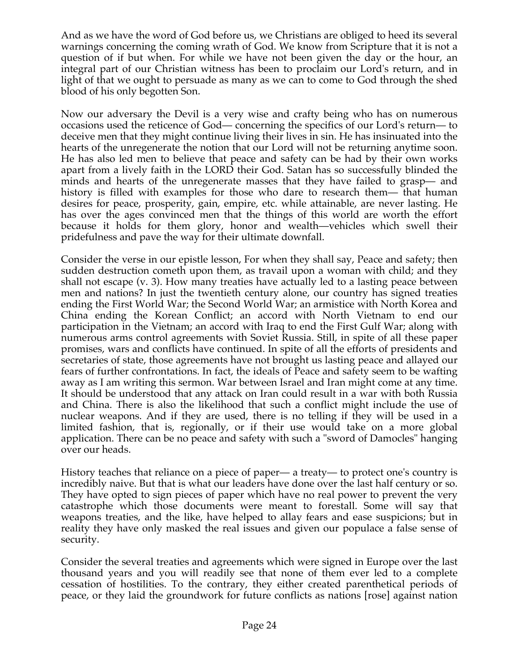And as we have the word of God before us, we Christians are obliged to heed its several warnings concerning the coming wrath of God. We know from Scripture that it is not a question of if but when. For while we have not been given the day or the hour, an integral part of our Christian witness has been to proclaim our Lord's return, and in light of that we ought to persuade as many as we can to come to God through the shed blood of his only begotten Son.

Now our adversary the Devil is a very wise and crafty being who has on numerous occasions used the reticence of God— concerning the specifics of our Lord's return— to deceive men that they might continue living their lives in sin. He has insinuated into the hearts of the unregenerate the notion that our Lord will not be returning anytime soon. He has also led men to believe that peace and safety can be had by their own works apart from a lively faith in the LORD their God. Satan has so successfully blinded the minds and hearts of the unregenerate masses that they have failed to grasp— and history is filled with examples for those who dare to research them— that human desires for peace, prosperity, gain, empire, etc. while attainable, are never lasting. He has over the ages convinced men that the things of this world are worth the effort because it holds for them glory, honor and wealth—vehicles which swell their pridefulness and pave the way for their ultimate downfall.

Consider the verse in our epistle lesson, For when they shall say, Peace and safety; then sudden destruction cometh upon them, as travail upon a woman with child; and they shall not escape (v. 3). How many treaties have actually led to a lasting peace between men and nations? In just the twentieth century alone, our country has signed treaties ending the First World War; the Second World War; an armistice with North Korea and China ending the Korean Conflict; an accord with North Vietnam to end our participation in the Vietnam; an accord with Iraq to end the First Gulf War; along with numerous arms control agreements with Soviet Russia. Still, in spite of all these paper promises, wars and conflicts have continued. In spite of all the efforts of presidents and secretaries of state, those agreements have not brought us lasting peace and allayed our fears of further confrontations. In fact, the ideals of Peace and safety seem to be wafting away as I am writing this sermon. War between Israel and Iran might come at any time. It should be understood that any attack on Iran could result in a war with both Russia and China. There is also the likelihood that such a conflict might include the use of nuclear weapons. And if they are used, there is no telling if they will be used in a limited fashion, that is, regionally, or if their use would take on a more global application. There can be no peace and safety with such a "sword of Damocles" hanging over our heads.

History teaches that reliance on a piece of paper— a treaty— to protect one's country is incredibly naive. But that is what our leaders have done over the last half century or so. They have opted to sign pieces of paper which have no real power to prevent the very catastrophe which those documents were meant to forestall. Some will say that weapons treaties, and the like, have helped to allay fears and ease suspicions; but in reality they have only masked the real issues and given our populace a false sense of security.

Consider the several treaties and agreements which were signed in Europe over the last thousand years and you will readily see that none of them ever led to a complete cessation of hostilities. To the contrary, they either created parenthetical periods of peace, or they laid the groundwork for future conflicts as nations [rose] against nation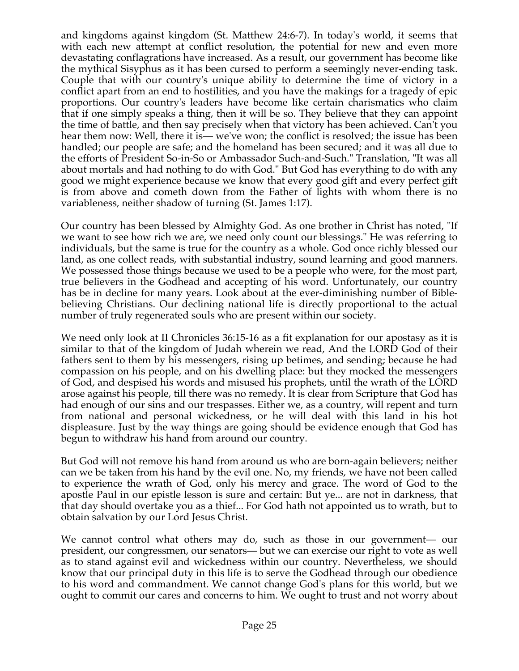and kingdoms against kingdom (St. Matthew 24:6-7). In today's world, it seems that with each new attempt at conflict resolution, the potential for new and even more devastating conflagrations have increased. As a result, our government has become like the mythical Sisyphus as it has been cursed to perform a seemingly never-ending task. Couple that with our country's unique ability to determine the time of victory in a conflict apart from an end to hostilities, and you have the makings for a tragedy of epic proportions. Our country's leaders have become like certain charismatics who claim that if one simply speaks a thing, then it will be so. They believe that they can appoint the time of battle, and then say precisely when that victory has been achieved. Can't you hear them now: Well, there it is— we've won; the conflict is resolved; the issue has been handled; our people are safe; and the homeland has been secured; and it was all due to the efforts of President So-in-So or Ambassador Such-and-Such." Translation, "It was all about mortals and had nothing to do with God." But God has everything to do with any good we might experience because we know that every good gift and every perfect gift is from above and cometh down from the Father of lights with whom there is no variableness, neither shadow of turning (St. James 1:17).

Our country has been blessed by Almighty God. As one brother in Christ has noted, "If we want to see how rich we are, we need only count our blessings." He was referring to individuals, but the same is true for the country as a whole. God once richly blessed our land, as one collect reads, with substantial industry, sound learning and good manners. We possessed those things because we used to be a people who were, for the most part, true believers in the Godhead and accepting of his word. Unfortunately, our country has be in decline for many years. Look about at the ever-diminishing number of Biblebelieving Christians. Our declining national life is directly proportional to the actual number of truly regenerated souls who are present within our society.

We need only look at II Chronicles 36:15-16 as a fit explanation for our apostasy as it is similar to that of the kingdom of Judah wherein we read, And the LORD God of their fathers sent to them by his messengers, rising up betimes, and sending; because he had compassion on his people, and on his dwelling place: but they mocked the messengers of God, and despised his words and misused his prophets, until the wrath of the LORD arose against his people, till there was no remedy. It is clear from Scripture that God has had enough of our sins and our trespasses. Either we, as a country, will repent and turn from national and personal wickedness, or he will deal with this land in his hot displeasure. Just by the way things are going should be evidence enough that God has begun to withdraw his hand from around our country.

But God will not remove his hand from around us who are born-again believers; neither can we be taken from his hand by the evil one. No, my friends, we have not been called to experience the wrath of God, only his mercy and grace. The word of God to the apostle Paul in our epistle lesson is sure and certain: But ye... are not in darkness, that that day should overtake you as a thief... For God hath not appointed us to wrath, but to obtain salvation by our Lord Jesus Christ.

We cannot control what others may do, such as those in our government— our president, our congressmen, our senators— but we can exercise our right to vote as well as to stand against evil and wickedness within our country. Nevertheless, we should know that our principal duty in this life is to serve the Godhead through our obedience to his word and commandment. We cannot change God's plans for this world, but we ought to commit our cares and concerns to him. We ought to trust and not worry about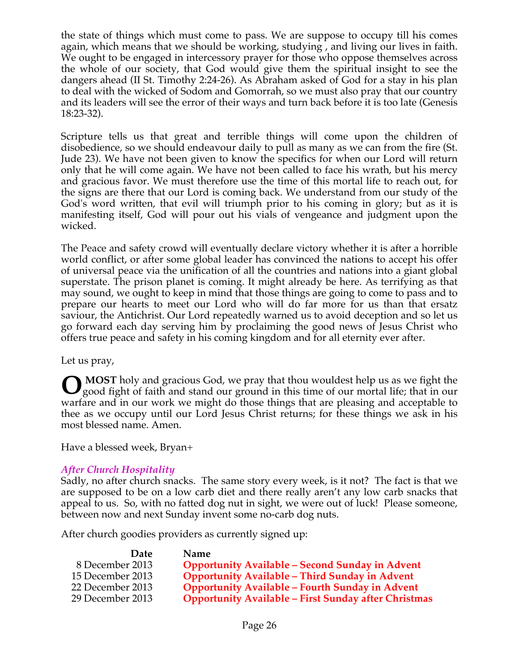the state of things which must come to pass. We are suppose to occupy till his comes again, which means that we should be working, studying , and living our lives in faith. We ought to be engaged in intercessory prayer for those who oppose themselves across the whole of our society, that God would give them the spiritual insight to see the dangers ahead (II St. Timothy 2:24-26). As Abraham asked of God for a stay in his plan to deal with the wicked of Sodom and Gomorrah, so we must also pray that our country and its leaders will see the error of their ways and turn back before it is too late (Genesis 18:23-32).

Scripture tells us that great and terrible things will come upon the children of disobedience, so we should endeavour daily to pull as many as we can from the fire (St. Jude 23). We have not been given to know the specifics for when our Lord will return only that he will come again. We have not been called to face his wrath, but his mercy and gracious favor. We must therefore use the time of this mortal life to reach out, for the signs are there that our Lord is coming back. We understand from our study of the God's word written, that evil will triumph prior to his coming in glory; but as it is manifesting itself, God will pour out his vials of vengeance and judgment upon the wicked.

The Peace and safety crowd will eventually declare victory whether it is after a horrible world conflict, or after some global leader has convinced the nations to accept his offer of universal peace via the unification of all the countries and nations into a giant global superstate. The prison planet is coming. It might already be here. As terrifying as that may sound, we ought to keep in mind that those things are going to come to pass and to prepare our hearts to meet our Lord who will do far more for us than that ersatz saviour, the Antichrist. Our Lord repeatedly warned us to avoid deception and so let us go forward each day serving him by proclaiming the good news of Jesus Christ who offers true peace and safety in his coming kingdom and for all eternity ever after.

Let us pray,

 **MOST** holy and gracious God, we pray that thou wouldest help us as we fight the good fight of faith and stand our ground in this time of our mortal life; that in our warfare and in our work we might do those things that are pleasing and acceptable to thee as we occupy until our Lord Jesus Christ returns; for these things we ask in his most blessed name. Amen. **O**

Have a blessed week, Bryan+

## *After Church Hospitality*

Sadly, no after church snacks. The same story every week, is it not? The fact is that we are supposed to be on a low carb diet and there really aren't any low carb snacks that appeal to us. So, with no fatted dog nut in sight, we were out of luck! Please someone, between now and next Sunday invent some no-carb dog nuts.

After church goodies providers as currently signed up:

| <b>Date</b>      | Name                                                        |
|------------------|-------------------------------------------------------------|
| 8 December 2013  | <b>Opportunity Available - Second Sunday in Advent</b>      |
| 15 December 2013 | <b>Opportunity Available - Third Sunday in Advent</b>       |
| 22 December 2013 | <b>Opportunity Available - Fourth Sunday in Advent</b>      |
| 29 December 2013 | <b>Opportunity Available - First Sunday after Christmas</b> |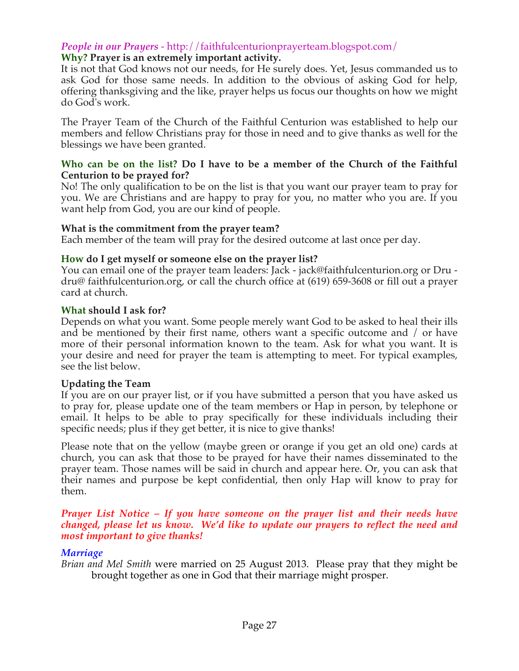## *People in our Prayers* - http://faithfulcenturionprayerteam.blogspot.com/

## **Why? Prayer is an extremely important activity.**

It is not that God knows not our needs, for He surely does. Yet, Jesus commanded us to ask God for those same needs. In addition to the obvious of asking God for help, offering thanksgiving and the like, prayer helps us focus our thoughts on how we might do God's work.

The Prayer Team of the Church of the Faithful Centurion was established to help our members and fellow Christians pray for those in need and to give thanks as well for the blessings we have been granted.

#### **Who can be on the list? Do I have to be a member of the Church of the Faithful Centurion to be prayed for?**

No! The only qualification to be on the list is that you want our prayer team to pray for you. We are Christians and are happy to pray for you, no matter who you are. If you want help from God, you are our kind of people.

#### **What is the commitment from the prayer team?**

Each member of the team will pray for the desired outcome at last once per day.

#### **How do I get myself or someone else on the prayer list?**

You can email one of the prayer team leaders: Jack - jack@faithfulcenturion.org or Dru dru@ faithfulcenturion.org, or call the church office at (619) 659-3608 or fill out a prayer card at church.

#### **What should I ask for?**

Depends on what you want. Some people merely want God to be asked to heal their ills and be mentioned by their first name, others want a specific outcome and / or have more of their personal information known to the team. Ask for what you want. It is your desire and need for prayer the team is attempting to meet. For typical examples, see the list below.

#### **Updating the Team**

If you are on our prayer list, or if you have submitted a person that you have asked us to pray for, please update one of the team members or Hap in person, by telephone or email. It helps to be able to pray specifically for these individuals including their specific needs; plus if they get better, it is nice to give thanks!

Please note that on the yellow (maybe green or orange if you get an old one) cards at church, you can ask that those to be prayed for have their names disseminated to the prayer team. Those names will be said in church and appear here. Or, you can ask that their names and purpose be kept confidential, then only Hap will know to pray for them.

#### *Prayer List Notice – If you have someone on the prayer list and their needs have changed, please let us know. We'd like to update our prayers to reflect the need and most important to give thanks!*

#### *Marriage*

*Brian and Mel Smith* were married on 25 August 2013. Please pray that they might be brought together as one in God that their marriage might prosper.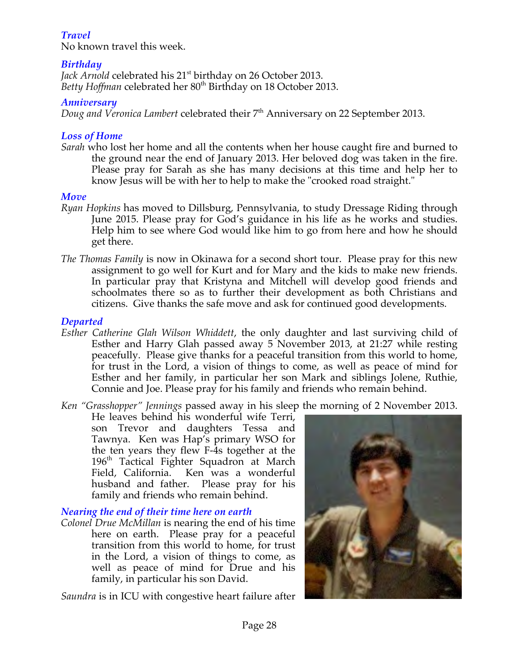## *Travel*

No known travel this week.

# *Birthday*

*Jack Arnold* celebrated his 21<sup>st</sup> birthday on 26 October 2013. Betty Hoffman celebrated her 80<sup>th</sup> Birthday on 18 October 2013.

## *Anniversary*

*Doug and Veronica Lambert celebrated their* 7<sup>th</sup> Anniversary on 22 September 2013.

# *Loss of Home*

*Sarah* who lost her home and all the contents when her house caught fire and burned to the ground near the end of January 2013. Her beloved dog was taken in the fire. Please pray for Sarah as she has many decisions at this time and help her to know Jesus will be with her to help to make the "crooked road straight."

## *Move*

- *Ryan Hopkins* has moved to Dillsburg, Pennsylvania, to study Dressage Riding through June 2015. Please pray for God's guidance in his life as he works and studies. Help him to see where God would like him to go from here and how he should get there.
- *The Thomas Family* is now in Okinawa for a second short tour. Please pray for this new assignment to go well for Kurt and for Mary and the kids to make new friends. In particular pray that Kristyna and Mitchell will develop good friends and schoolmates there so as to further their development as both Christians and citizens. Give thanks the safe move and ask for continued good developments.

## *Departed*

*Esther Catherine Glah Wilson Whiddett*, the only daughter and last surviving child of Esther and Harry Glah passed away 5 November 2013, at 21:27 while resting peacefully. Please give thanks for a peaceful transition from this world to home, for trust in the Lord, a vision of things to come, as well as peace of mind for Esther and her family, in particular her son Mark and siblings Jolene, Ruthie, Connie and Joe. Please pray for his family and friends who remain behind.

*Ken "Grasshopper" Jennings* passed away in his sleep the morning of 2 November 2013.

He leaves behind his wonderful wife Terri, son Trevor and daughters Tessa and Tawnya. Ken was Hap's primary WSO for the ten years they flew F-4s together at the 196<sup>th</sup> Tactical Fighter Squadron at March Field, California. Ken was a wonderful husband and father. Please pray for his family and friends who remain behind.

# *Nearing the end of their time here on earth*

*Colonel Drue McMillan* is nearing the end of his time here on earth. Please pray for a peaceful transition from this world to home, for trust in the Lord, a vision of things to come, as well as peace of mind for Drue and his family, in particular his son David.

*Saundra* is in ICU with congestive heart failure after

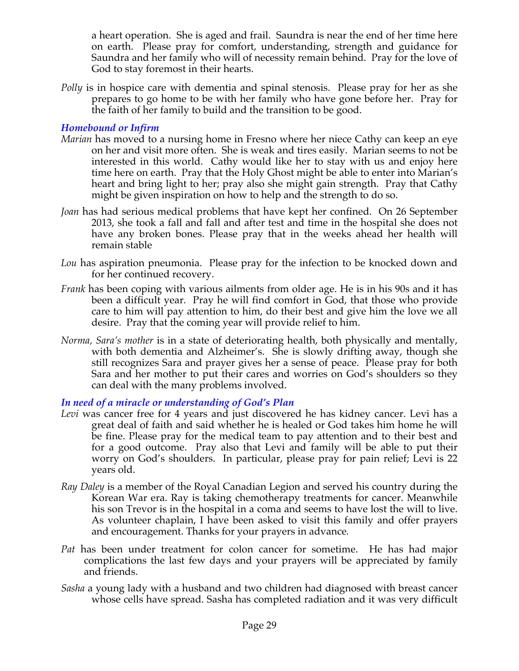a heart operation. She is aged and frail. Saundra is near the end of her time here on earth. Please pray for comfort, understanding, strength and guidance for Saundra and her family who will of necessity remain behind. Pray for the love of God to stay foremost in their hearts.

*Polly* is in hospice care with dementia and spinal stenosis. Please pray for her as she prepares to go home to be with her family who have gone before her. Pray for the faith of her family to build and the transition to be good.

## *Homebound or Infirm*

- *Marian* has moved to a nursing home in Fresno where her niece Cathy can keep an eye on her and visit more often. She is weak and tires easily. Marian seems to not be interested in this world. Cathy would like her to stay with us and enjoy here time here on earth. Pray that the Holy Ghost might be able to enter into Marian's heart and bring light to her; pray also she might gain strength. Pray that Cathy might be given inspiration on how to help and the strength to do so.
- *Joan* has had serious medical problems that have kept her confined. On 26 September 2013, she took a fall and fall and after test and time in the hospital she does not have any broken bones. Please pray that in the weeks ahead her health will remain stable
- *Lou* has aspiration pneumonia. Please pray for the infection to be knocked down and for her continued recovery.
- *Frank* has been coping with various ailments from older age. He is in his 90s and it has been a difficult year. Pray he will find comfort in God, that those who provide care to him will pay attention to him, do their best and give him the love we all desire. Pray that the coming year will provide relief to him.
- *Norma, Sara's mother* is in a state of deteriorating health, both physically and mentally, with both dementia and Alzheimer's. She is slowly drifting away, though she still recognizes Sara and prayer gives her a sense of peace. Please pray for both Sara and her mother to put their cares and worries on God's shoulders so they can deal with the many problems involved.

*In need of a miracle or understanding of God's Plan*

- *Levi* was cancer free for 4 years and just discovered he has kidney cancer. Levi has a great deal of faith and said whether he is healed or God takes him home he will be fine. Please pray for the medical team to pay attention and to their best and for a good outcome. Pray also that Levi and family will be able to put their worry on God's shoulders. In particular, please pray for pain relief; Levi is 22 years old.
- *Ray Daley* is a member of the Royal Canadian Legion and served his country during the Korean War era. Ray is taking chemotherapy treatments for cancer. Meanwhile his son Trevor is in the hospital in a coma and seems to have lost the will to live. As volunteer chaplain, I have been asked to visit this family and offer prayers and encouragement. Thanks for your prayers in advance*.*
- *Pat* has been under treatment for colon cancer for sometime. He has had major complications the last few days and your prayers will be appreciated by family and friends.
- *Sasha* a young lady with a husband and two children had diagnosed with breast cancer whose cells have spread. Sasha has completed radiation and it was very difficult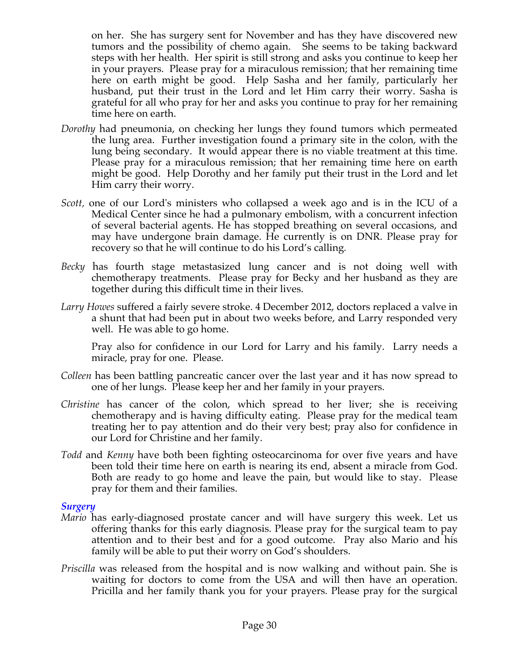on her. She has surgery sent for November and has they have discovered new tumors and the possibility of chemo again. She seems to be taking backward steps with her health. Her spirit is still strong and asks you continue to keep her in your prayers. Please pray for a miraculous remission; that her remaining time here on earth might be good. Help Sasha and her family, particularly her husband, put their trust in the Lord and let Him carry their worry. Sasha is grateful for all who pray for her and asks you continue to pray for her remaining time here on earth.

- *Dorothy* had pneumonia, on checking her lungs they found tumors which permeated the lung area. Further investigation found a primary site in the colon, with the lung being secondary. It would appear there is no viable treatment at this time. Please pray for a miraculous remission; that her remaining time here on earth might be good. Help Dorothy and her family put their trust in the Lord and let Him carry their worry.
- *Scott,* one of our Lord's ministers who collapsed a week ago and is in the ICU of a Medical Center since he had a pulmonary embolism, with a concurrent infection of several bacterial agents. He has stopped breathing on several occasions, and may have undergone brain damage. He currently is on DNR. Please pray for recovery so that he will continue to do his Lord's calling*.*
- *Becky* has fourth stage metastasized lung cancer and is not doing well with chemotherapy treatments. Please pray for Becky and her husband as they are together during this difficult time in their lives.
- *Larry Howes* suffered a fairly severe stroke. 4 December 2012, doctors replaced a valve in a shunt that had been put in about two weeks before, and Larry responded very well. He was able to go home.

Pray also for confidence in our Lord for Larry and his family. Larry needs a miracle, pray for one. Please.

- *Colleen* has been battling pancreatic cancer over the last year and it has now spread to one of her lungs. Please keep her and her family in your prayers.
- *Christine* has cancer of the colon, which spread to her liver; she is receiving chemotherapy and is having difficulty eating. Please pray for the medical team treating her to pay attention and do their very best; pray also for confidence in our Lord for Christine and her family.
- *Todd* and *Kenny* have both been fighting osteocarcinoma for over five years and have been told their time here on earth is nearing its end, absent a miracle from God. Both are ready to go home and leave the pain, but would like to stay. Please pray for them and their families.

#### *Surgery*

- *Mario* has early-diagnosed prostate cancer and will have surgery this week. Let us offering thanks for this early diagnosis. Please pray for the surgical team to pay attention and to their best and for a good outcome. Pray also Mario and his family will be able to put their worry on God's shoulders.
- *Priscilla* was released from the hospital and is now walking and without pain. She is waiting for doctors to come from the USA and will then have an operation. Pricilla and her family thank you for your prayers. Please pray for the surgical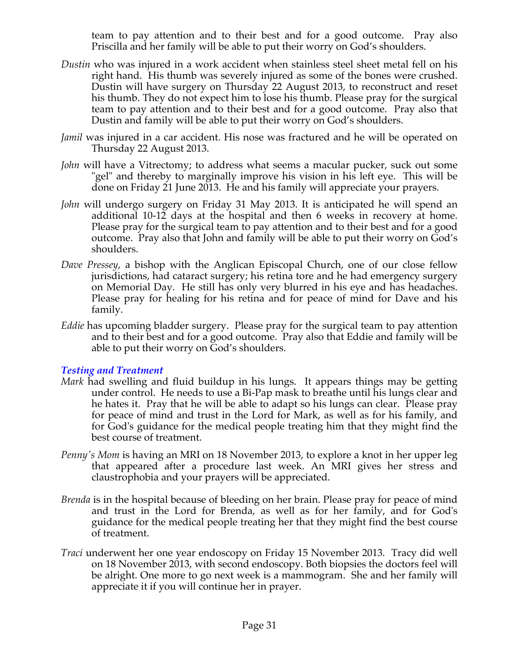team to pay attention and to their best and for a good outcome. Pray also Priscilla and her family will be able to put their worry on God's shoulders.

- *Dustin* who was injured in a work accident when stainless steel sheet metal fell on his right hand. His thumb was severely injured as some of the bones were crushed. Dustin will have surgery on Thursday 22 August 2013, to reconstruct and reset his thumb. They do not expect him to lose his thumb. Please pray for the surgical team to pay attention and to their best and for a good outcome. Pray also that Dustin and family will be able to put their worry on God's shoulders.
- *Jamil* was injured in a car accident. His nose was fractured and he will be operated on Thursday 22 August 2013.
- *John* will have a Vitrectomy; to address what seems a macular pucker, suck out some "gel" and thereby to marginally improve his vision in his left eye. This will be done on Friday 21 June 2013. He and his family will appreciate your prayers.
- *John* will undergo surgery on Friday 31 May 2013. It is anticipated he will spend an additional 10-12 days at the hospital and then 6 weeks in recovery at home. Please pray for the surgical team to pay attention and to their best and for a good outcome. Pray also that John and family will be able to put their worry on God's shoulders.
- *Dave Pressey*, a bishop with the Anglican Episcopal Church, one of our close fellow jurisdictions, had cataract surgery; his retina tore and he had emergency surgery on Memorial Day. He still has only very blurred in his eye and has headaches. Please pray for healing for his retina and for peace of mind for Dave and his family.
- *Eddie* has upcoming bladder surgery. Please pray for the surgical team to pay attention and to their best and for a good outcome. Pray also that Eddie and family will be able to put their worry on God's shoulders.

#### *Testing and Treatment*

- *Mark* had swelling and fluid buildup in his lungs. It appears things may be getting under control. He needs to use a Bi-Pap mask to breathe until his lungs clear and he hates it. Pray that he will be able to adapt so his lungs can clear. Please pray for peace of mind and trust in the Lord for Mark, as well as for his family, and for God's guidance for the medical people treating him that they might find the best course of treatment.
- *Penny's Mom is having an MRI on 18 November 2013, to explore a knot in her upper leg* that appeared after a procedure last week. An MRI gives her stress and claustrophobia and your prayers will be appreciated.
- *Brenda* is in the hospital because of bleeding on her brain. Please pray for peace of mind and trust in the Lord for Brenda, as well as for her family, and for God's guidance for the medical people treating her that they might find the best course of treatment.
- *Traci* underwent her one year endoscopy on Friday 15 November 2013. Tracy did well on 18 November 2013, with second endoscopy. Both biopsies the doctors feel will be alright. One more to go next week is a mammogram. She and her family will appreciate it if you will continue her in prayer.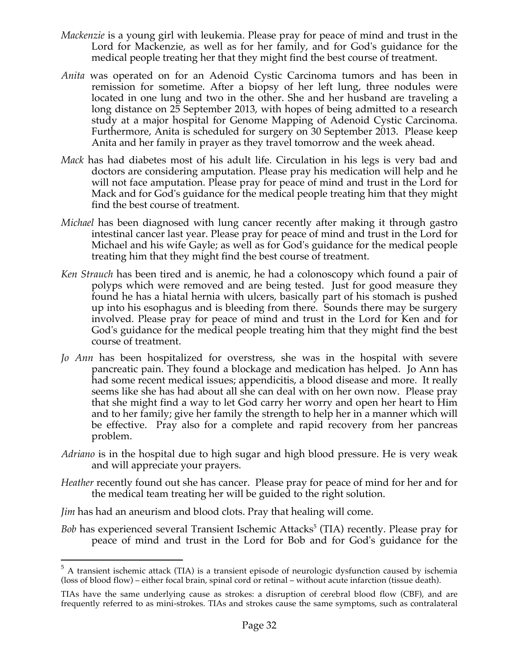- *Mackenzie* is a young girl with leukemia. Please pray for peace of mind and trust in the Lord for Mackenzie, as well as for her family, and for God's guidance for the medical people treating her that they might find the best course of treatment.
- *Anita* was operated on for an Adenoid Cystic Carcinoma tumors and has been in remission for sometime. After a biopsy of her left lung, three nodules were located in one lung and two in the other. She and her husband are traveling a long distance on 25 September 2013, with hopes of being admitted to a research study at a major hospital for Genome Mapping of Adenoid Cystic Carcinoma. Furthermore, Anita is scheduled for surgery on 30 September 2013. Please keep Anita and her family in prayer as they travel tomorrow and the week ahead.
- *Mack* has had diabetes most of his adult life. Circulation in his legs is very bad and doctors are considering amputation. Please pray his medication will help and he will not face amputation. Please pray for peace of mind and trust in the Lord for Mack and for God's guidance for the medical people treating him that they might find the best course of treatment.
- *Michael* has been diagnosed with lung cancer recently after making it through gastro intestinal cancer last year. Please pray for peace of mind and trust in the Lord for Michael and his wife Gayle; as well as for God's guidance for the medical people treating him that they might find the best course of treatment.
- *Ken Strauch* has been tired and is anemic, he had a colonoscopy which found a pair of polyps which were removed and are being tested. Just for good measure they found he has a hiatal hernia with ulcers, basically part of his stomach is pushed up into his esophagus and is bleeding from there. Sounds there may be surgery involved. Please pray for peace of mind and trust in the Lord for Ken and for God's guidance for the medical people treating him that they might find the best course of treatment.
- *Jo Ann* has been hospitalized for overstress, she was in the hospital with severe pancreatic pain. They found a blockage and medication has helped. Jo Ann has had some recent medical issues; appendicitis, a blood disease and more. It really seems like she has had about all she can deal with on her own now. Please pray that she might find a way to let God carry her worry and open her heart to Him and to her family; give her family the strength to help her in a manner which will be effective. Pray also for a complete and rapid recovery from her pancreas problem.
- *Adriano* is in the hospital due to high sugar and high blood pressure. He is very weak and will appreciate your prayers.
- *Heather* recently found out she has cancer. Please pray for peace of mind for her and for the medical team treating her will be guided to the right solution.
- *Jim* has had an aneurism and blood clots. Pray that healing will come.
- *Bob* has experienced several Transient Ischemic Attacks<sup>5</sup> (TIA) recently. Please pray for peace of mind and trust in the Lord for Bob and for God's guidance for the

 $5$  A transient ischemic attack (TIA) is a transient episode of neurologic dysfunction caused by ischemia (loss of blood flow) – either focal brain, spinal cord or retinal – without acute infarction (tissue death).

TIAs have the same underlying cause as strokes: a disruption of cerebral blood flow (CBF), and are frequently referred to as mini-strokes. TIAs and strokes cause the same symptoms, such as contralateral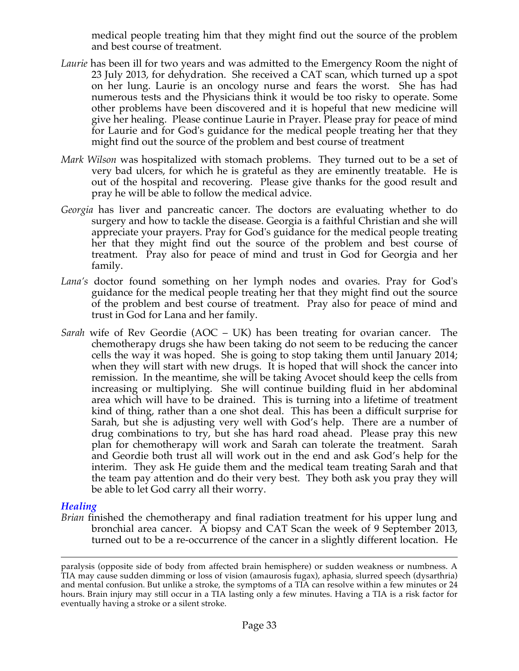medical people treating him that they might find out the source of the problem and best course of treatment.

- *Laurie* has been ill for two years and was admitted to the Emergency Room the night of 23 July 2013, for dehydration. She received a CAT scan, which turned up a spot on her lung. Laurie is an oncology nurse and fears the worst. She has had numerous tests and the Physicians think it would be too risky to operate. Some other problems have been discovered and it is hopeful that new medicine will give her healing. Please continue Laurie in Prayer. Please pray for peace of mind for Laurie and for God's guidance for the medical people treating her that they might find out the source of the problem and best course of treatment
- *Mark Wilson* was hospitalized with stomach problems. They turned out to be a set of very bad ulcers, for which he is grateful as they are eminently treatable. He is out of the hospital and recovering. Please give thanks for the good result and pray he will be able to follow the medical advice.
- *Georgia* has liver and pancreatic cancer. The doctors are evaluating whether to do surgery and how to tackle the disease. Georgia is a faithful Christian and she will appreciate your prayers. Pray for God's guidance for the medical people treating her that they might find out the source of the problem and best course of treatment. Pray also for peace of mind and trust in God for Georgia and her family.
- *Lana's* doctor found something on her lymph nodes and ovaries. Pray for God's guidance for the medical people treating her that they might find out the source of the problem and best course of treatment. Pray also for peace of mind and trust in God for Lana and her family.
- *Sarah* wife of Rev Geordie (AOC UK) has been treating for ovarian cancer. The chemotherapy drugs she haw been taking do not seem to be reducing the cancer cells the way it was hoped. She is going to stop taking them until January 2014; when they will start with new drugs. It is hoped that will shock the cancer into remission. In the meantime, she will be taking Avocet should keep the cells from increasing or multiplying. She will continue building fluid in her abdominal area which will have to be drained. This is turning into a lifetime of treatment kind of thing, rather than a one shot deal. This has been a difficult surprise for Sarah, but she is adjusting very well with God's help. There are a number of drug combinations to try, but she has hard road ahead. Please pray this new plan for chemotherapy will work and Sarah can tolerate the treatment. Sarah and Geordie both trust all will work out in the end and ask God's help for the interim. They ask He guide them and the medical team treating Sarah and that the team pay attention and do their very best. They both ask you pray they will be able to let God carry all their worry.

#### *Healing*

*Brian* finished the chemotherapy and final radiation treatment for his upper lung and bronchial area cancer. A biopsy and CAT Scan the week of 9 September 2013, turned out to be a re-occurrence of the cancer in a slightly different location. He

paralysis (opposite side of body from affected brain hemisphere) or sudden weakness or numbness. A TIA may cause sudden dimming or loss of vision (amaurosis fugax), aphasia, slurred speech (dysarthria) and mental confusion. But unlike a stroke, the symptoms of a TIA can resolve within a few minutes or 24 hours. Brain injury may still occur in a TIA lasting only a few minutes. Having a TIA is a risk factor for eventually having a stroke or a silent stroke.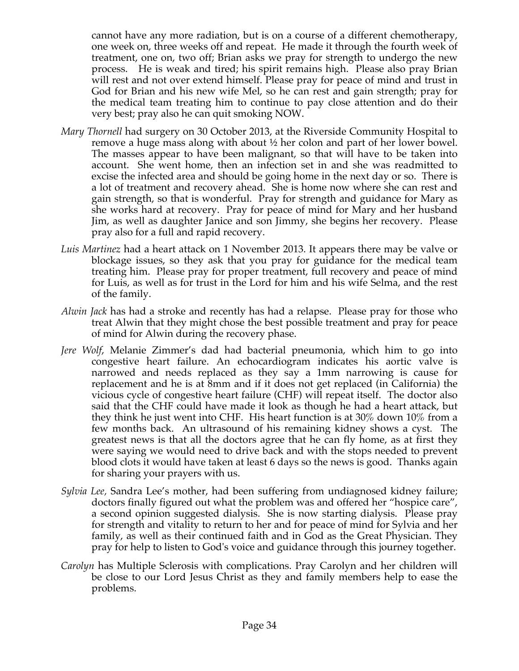cannot have any more radiation, but is on a course of a different chemotherapy, one week on, three weeks off and repeat. He made it through the fourth week of treatment, one on, two off; Brian asks we pray for strength to undergo the new process. He is weak and tired; his spirit remains high. Please also pray Brian will rest and not over extend himself. Please pray for peace of mind and trust in God for Brian and his new wife Mel, so he can rest and gain strength; pray for the medical team treating him to continue to pay close attention and do their very best; pray also he can quit smoking NOW.

- *Mary Thornell* had surgery on 30 October 2013, at the Riverside Community Hospital to remove a huge mass along with about ½ her colon and part of her lower bowel. The masses appear to have been malignant, so that will have to be taken into account. She went home, then an infection set in and she was readmitted to excise the infected area and should be going home in the next day or so. There is a lot of treatment and recovery ahead. She is home now where she can rest and gain strength, so that is wonderful. Pray for strength and guidance for Mary as she works hard at recovery. Pray for peace of mind for Mary and her husband Jim, as well as daughter Janice and son Jimmy, she begins her recovery. Please pray also for a full and rapid recovery.
- *Luis Martinez* had a heart attack on 1 November 2013. It appears there may be valve or blockage issues, so they ask that you pray for guidance for the medical team treating him. Please pray for proper treatment, full recovery and peace of mind for Luis, as well as for trust in the Lord for him and his wife Selma, and the rest of the family.
- *Alwin Jack* has had a stroke and recently has had a relapse. Please pray for those who treat Alwin that they might chose the best possible treatment and pray for peace of mind for Alwin during the recovery phase.
- *Jere Wolf*, Melanie Zimmer's dad had bacterial pneumonia, which him to go into congestive heart failure. An echocardiogram indicates his aortic valve is narrowed and needs replaced as they say a 1mm narrowing is cause for replacement and he is at 8mm and if it does not get replaced (in California) the vicious cycle of congestive heart failure (CHF) will repeat itself. The doctor also said that the CHF could have made it look as though he had a heart attack, but they think he just went into CHF. His heart function is at 30% down 10% from a few months back. An ultrasound of his remaining kidney shows a cyst. The greatest news is that all the doctors agree that he can fly home, as at first they were saying we would need to drive back and with the stops needed to prevent blood clots it would have taken at least 6 days so the news is good. Thanks again for sharing your prayers with us.
- *Sylvia Lee,* Sandra Lee's mother, had been suffering from undiagnosed kidney failure; doctors finally figured out what the problem was and offered her "hospice care", a second opinion suggested dialysis. She is now starting dialysis. Please pray for strength and vitality to return to her and for peace of mind for Sylvia and her family, as well as their continued faith and in God as the Great Physician. They pray for help to listen to God's voice and guidance through this journey together.
- *Carolyn* has Multiple Sclerosis with complications. Pray Carolyn and her children will be close to our Lord Jesus Christ as they and family members help to ease the problems.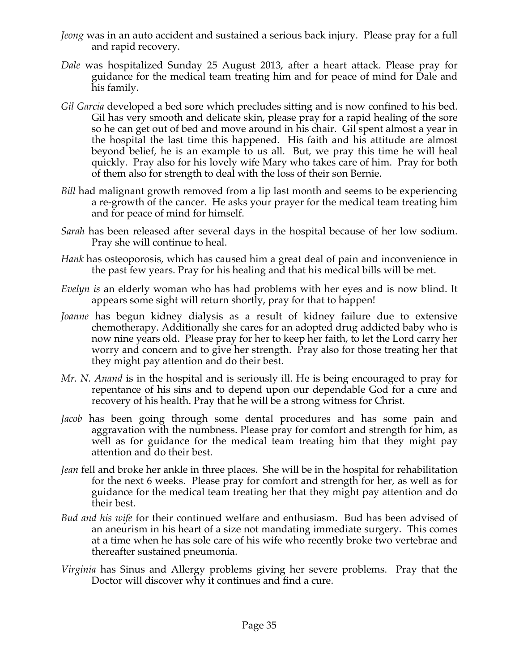- *Jeong* was in an auto accident and sustained a serious back injury. Please pray for a full and rapid recovery.
- *Dale* was hospitalized Sunday 25 August 2013, after a heart attack. Please pray for guidance for the medical team treating him and for peace of mind for Dale and his family.
- *Gil Garcia* developed a bed sore which precludes sitting and is now confined to his bed. Gil has very smooth and delicate skin, please pray for a rapid healing of the sore so he can get out of bed and move around in his chair. Gil spent almost a year in the hospital the last time this happened. His faith and his attitude are almost beyond belief, he is an example to us all. But, we pray this time he will heal quickly. Pray also for his lovely wife Mary who takes care of him. Pray for both of them also for strength to deal with the loss of their son Bernie.
- *Bill* had malignant growth removed from a lip last month and seems to be experiencing a re-growth of the cancer. He asks your prayer for the medical team treating him and for peace of mind for himself.
- *Sarah* has been released after several days in the hospital because of her low sodium. Pray she will continue to heal.
- *Hank* has osteoporosis, which has caused him a great deal of pain and inconvenience in the past few years. Pray for his healing and that his medical bills will be met.
- *Evelyn is* an elderly woman who has had problems with her eyes and is now blind. It appears some sight will return shortly, pray for that to happen!
- *Joanne* has begun kidney dialysis as a result of kidney failure due to extensive chemotherapy. Additionally she cares for an adopted drug addicted baby who is now nine years old. Please pray for her to keep her faith, to let the Lord carry her worry and concern and to give her strength. Pray also for those treating her that they might pay attention and do their best.
- *Mr. N. Anand* is in the hospital and is seriously ill. He is being encouraged to pray for repentance of his sins and to depend upon our dependable God for a cure and recovery of his health. Pray that he will be a strong witness for Christ.
- *Jacob* has been going through some dental procedures and has some pain and aggravation with the numbness. Please pray for comfort and strength for him, as well as for guidance for the medical team treating him that they might pay attention and do their best.
- *Jean* fell and broke her ankle in three places. She will be in the hospital for rehabilitation for the next 6 weeks. Please pray for comfort and strength for her, as well as for guidance for the medical team treating her that they might pay attention and do their best.
- *Bud and his wife* for their continued welfare and enthusiasm. Bud has been advised of an aneurism in his heart of a size not mandating immediate surgery. This comes at a time when he has sole care of his wife who recently broke two vertebrae and thereafter sustained pneumonia.
- *Virginia* has Sinus and Allergy problems giving her severe problems. Pray that the Doctor will discover why it continues and find a cure.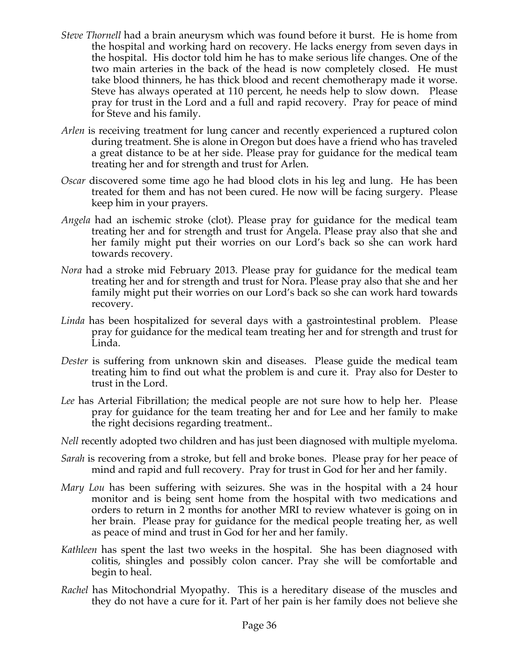- *Steve Thornell* had a brain aneurysm which was found before it burst. He is home from the hospital and working hard on recovery. He lacks energy from seven days in the hospital. His doctor told him he has to make serious life changes. One of the two main arteries in the back of the head is now completely closed. He must take blood thinners, he has thick blood and recent chemotherapy made it worse. Steve has always operated at 110 percent, he needs help to slow down. Please pray for trust in the Lord and a full and rapid recovery. Pray for peace of mind for Steve and his family.
- *Arlen* is receiving treatment for lung cancer and recently experienced a ruptured colon during treatment. She is alone in Oregon but does have a friend who has traveled a great distance to be at her side. Please pray for guidance for the medical team treating her and for strength and trust for Arlen.
- *Oscar* discovered some time ago he had blood clots in his leg and lung. He has been treated for them and has not been cured. He now will be facing surgery. Please keep him in your prayers.
- *Angela* had an ischemic stroke (clot). Please pray for guidance for the medical team treating her and for strength and trust for Angela. Please pray also that she and her family might put their worries on our Lord's back so she can work hard towards recovery.
- *Nora* had a stroke mid February 2013. Please pray for guidance for the medical team treating her and for strength and trust for Nora. Please pray also that she and her family might put their worries on our Lord's back so she can work hard towards recovery.
- *Linda* has been hospitalized for several days with a gastrointestinal problem. Please pray for guidance for the medical team treating her and for strength and trust for Linda.
- *Dester* is suffering from unknown skin and diseases. Please guide the medical team treating him to find out what the problem is and cure it. Pray also for Dester to trust in the Lord.
- *Lee* has Arterial Fibrillation; the medical people are not sure how to help her. Please pray for guidance for the team treating her and for Lee and her family to make the right decisions regarding treatment..
- *Nell* recently adopted two children and has just been diagnosed with multiple myeloma.
- *Sarah* is recovering from a stroke, but fell and broke bones. Please pray for her peace of mind and rapid and full recovery. Pray for trust in God for her and her family.
- *Mary Lou* has been suffering with seizures. She was in the hospital with a 24 hour monitor and is being sent home from the hospital with two medications and orders to return in 2 months for another MRI to review whatever is going on in her brain. Please pray for guidance for the medical people treating her, as well as peace of mind and trust in God for her and her family.
- *Kathleen* has spent the last two weeks in the hospital. She has been diagnosed with colitis, shingles and possibly colon cancer. Pray she will be comfortable and begin to heal.
- *Rachel* has Mitochondrial Myopathy. This is a hereditary disease of the muscles and they do not have a cure for it. Part of her pain is her family does not believe she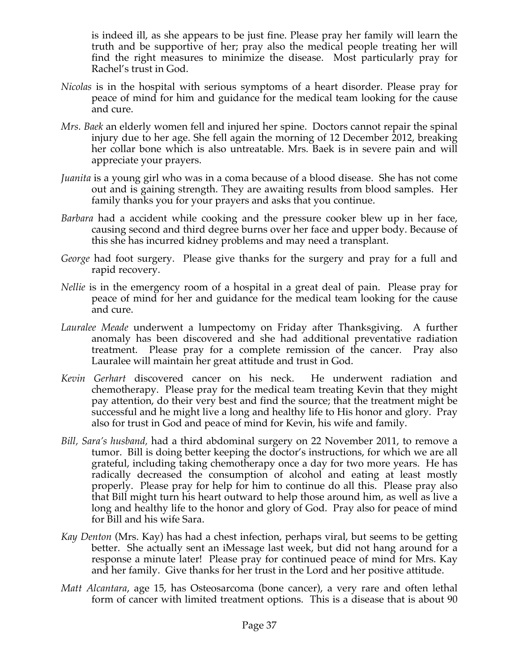is indeed ill, as she appears to be just fine. Please pray her family will learn the truth and be supportive of her; pray also the medical people treating her will find the right measures to minimize the disease. Most particularly pray for Rachel's trust in God.

- *Nicolas* is in the hospital with serious symptoms of a heart disorder. Please pray for peace of mind for him and guidance for the medical team looking for the cause and cure.
- *Mrs. Baek* an elderly women fell and injured her spine. Doctors cannot repair the spinal injury due to her age. She fell again the morning of 12 December 2012, breaking her collar bone which is also untreatable. Mrs. Baek is in severe pain and will appreciate your prayers.
- *Juanita* is a young girl who was in a coma because of a blood disease. She has not come out and is gaining strength. They are awaiting results from blood samples. Her family thanks you for your prayers and asks that you continue.
- *Barbara* had a accident while cooking and the pressure cooker blew up in her face, causing second and third degree burns over her face and upper body. Because of this she has incurred kidney problems and may need a transplant.
- *George* had foot surgery. Please give thanks for the surgery and pray for a full and rapid recovery.
- *Nellie* is in the emergency room of a hospital in a great deal of pain. Please pray for peace of mind for her and guidance for the medical team looking for the cause and cure.
- *Lauralee Meade* underwent a lumpectomy on Friday after Thanksgiving. A further anomaly has been discovered and she had additional preventative radiation treatment. Please pray for a complete remission of the cancer. Pray also Lauralee will maintain her great attitude and trust in God.
- *Kevin Gerhart* discovered cancer on his neck. He underwent radiation and chemotherapy. Please pray for the medical team treating Kevin that they might pay attention, do their very best and find the source; that the treatment might be successful and he might live a long and healthy life to His honor and glory. Pray also for trust in God and peace of mind for Kevin, his wife and family.
- *Bill, Sara's husband,* had a third abdominal surgery on 22 November 2011, to remove a tumor. Bill is doing better keeping the doctor's instructions, for which we are all grateful, including taking chemotherapy once a day for two more years. He has radically decreased the consumption of alcohol and eating at least mostly properly. Please pray for help for him to continue do all this. Please pray also that Bill might turn his heart outward to help those around him, as well as live a long and healthy life to the honor and glory of God. Pray also for peace of mind for Bill and his wife Sara.
- *Kay Denton* (Mrs. Kay) has had a chest infection, perhaps viral, but seems to be getting better. She actually sent an iMessage last week, but did not hang around for a response a minute later! Please pray for continued peace of mind for Mrs. Kay and her family. Give thanks for her trust in the Lord and her positive attitude.
- *Matt Alcantara*, age 15, has Osteosarcoma (bone cancer), a very rare and often lethal form of cancer with limited treatment options. This is a disease that is about 90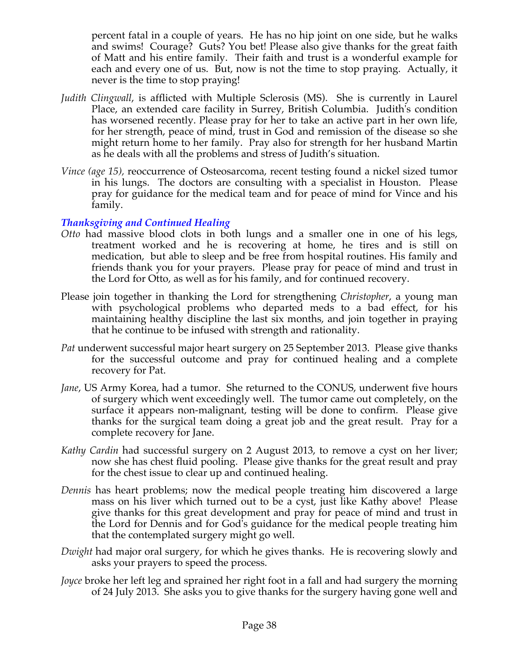percent fatal in a couple of years. He has no hip joint on one side, but he walks and swims! Courage? Guts? You bet! Please also give thanks for the great faith of Matt and his entire family. Their faith and trust is a wonderful example for each and every one of us. But, now is not the time to stop praying. Actually, it never is the time to stop praying!

- *Judith Clingwall*, is afflicted with Multiple Sclerosis (MS). She is currently in Laurel Place, an extended care facility in Surrey, British Columbia. Judith's condition has worsened recently. Please pray for her to take an active part in her own life, for her strength, peace of mind, trust in God and remission of the disease so she might return home to her family. Pray also for strength for her husband Martin as he deals with all the problems and stress of Judith's situation.
- *Vince (age 15),* reoccurrence of Osteosarcoma, recent testing found a nickel sized tumor in his lungs. The doctors are consulting with a specialist in Houston. Please pray for guidance for the medical team and for peace of mind for Vince and his family.

#### *Thanksgiving and Continued Healing*

- *Otto* had massive blood clots in both lungs and a smaller one in one of his legs, treatment worked and he is recovering at home, he tires and is still on medication, but able to sleep and be free from hospital routines. His family and friends thank you for your prayers. Please pray for peace of mind and trust in the Lord for Otto, as well as for his family, and for continued recovery.
- Please join together in thanking the Lord for strengthening *Christopher*, a young man with psychological problems who departed meds to a bad effect, for his maintaining healthy discipline the last six months, and join together in praying that he continue to be infused with strength and rationality.
- *Pat* underwent successful major heart surgery on 25 September 2013. Please give thanks for the successful outcome and pray for continued healing and a complete recovery for Pat.
- *Jane*, US Army Korea, had a tumor. She returned to the CONUS, underwent five hours of surgery which went exceedingly well. The tumor came out completely, on the surface it appears non-malignant, testing will be done to confirm. Please give thanks for the surgical team doing a great job and the great result. Pray for a complete recovery for Jane.
- *Kathy Cardin* had successful surgery on 2 August 2013, to remove a cyst on her liver; now she has chest fluid pooling. Please give thanks for the great result and pray for the chest issue to clear up and continued healing.
- *Dennis* has heart problems; now the medical people treating him discovered a large mass on his liver which turned out to be a cyst, just like Kathy above! Please give thanks for this great development and pray for peace of mind and trust in the Lord for Dennis and for God's guidance for the medical people treating him that the contemplated surgery might go well.
- *Dwight* had major oral surgery, for which he gives thanks. He is recovering slowly and asks your prayers to speed the process.
- *Joyce* broke her left leg and sprained her right foot in a fall and had surgery the morning of 24 July 2013. She asks you to give thanks for the surgery having gone well and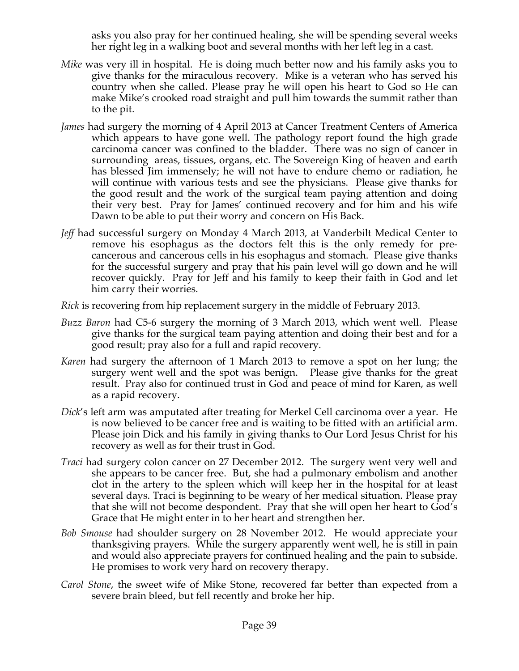asks you also pray for her continued healing, she will be spending several weeks her right leg in a walking boot and several months with her left leg in a cast.

- *Mike* was very ill in hospital. He is doing much better now and his family asks you to give thanks for the miraculous recovery. Mike is a veteran who has served his country when she called. Please pray he will open his heart to God so He can make Mike's crooked road straight and pull him towards the summit rather than to the pit.
- *James* had surgery the morning of 4 April 2013 at Cancer Treatment Centers of America which appears to have gone well. The pathology report found the high grade carcinoma cancer was confined to the bladder. There was no sign of cancer in surrounding areas, tissues, organs, etc. The Sovereign King of heaven and earth has blessed Jim immensely; he will not have to endure chemo or radiation, he will continue with various tests and see the physicians. Please give thanks for the good result and the work of the surgical team paying attention and doing their very best. Pray for James' continued recovery and for him and his wife Dawn to be able to put their worry and concern on His Back.
- *Jeff* had successful surgery on Monday 4 March 2013, at Vanderbilt Medical Center to remove his esophagus as the doctors felt this is the only remedy for precancerous and cancerous cells in his esophagus and stomach. Please give thanks for the successful surgery and pray that his pain level will go down and he will recover quickly. Pray for Jeff and his family to keep their faith in God and let him carry their worries.

*Rick* is recovering from hip replacement surgery in the middle of February 2013.

- *Buzz Baron* had C5-6 surgery the morning of 3 March 2013, which went well. Please give thanks for the surgical team paying attention and doing their best and for a good result; pray also for a full and rapid recovery.
- *Karen* had surgery the afternoon of 1 March 2013 to remove a spot on her lung; the surgery went well and the spot was benign. Please give thanks for the great result. Pray also for continued trust in God and peace of mind for Karen, as well as a rapid recovery.
- *Dick*'s left arm was amputated after treating for Merkel Cell carcinoma over a year. He is now believed to be cancer free and is waiting to be fitted with an artificial arm. Please join Dick and his family in giving thanks to Our Lord Jesus Christ for his recovery as well as for their trust in God.
- *Traci* had surgery colon cancer on 27 December 2012. The surgery went very well and she appears to be cancer free. But, she had a pulmonary embolism and another clot in the artery to the spleen which will keep her in the hospital for at least several days. Traci is beginning to be weary of her medical situation. Please pray that she will not become despondent. Pray that she will open her heart to God's Grace that He might enter in to her heart and strengthen her.
- *Bob Smouse* had shoulder surgery on 28 November 2012. He would appreciate your thanksgiving prayers. While the surgery apparently went well, he is still in pain and would also appreciate prayers for continued healing and the pain to subside. He promises to work very hard on recovery therapy.
- *Carol Stone*, the sweet wife of Mike Stone, recovered far better than expected from a severe brain bleed, but fell recently and broke her hip.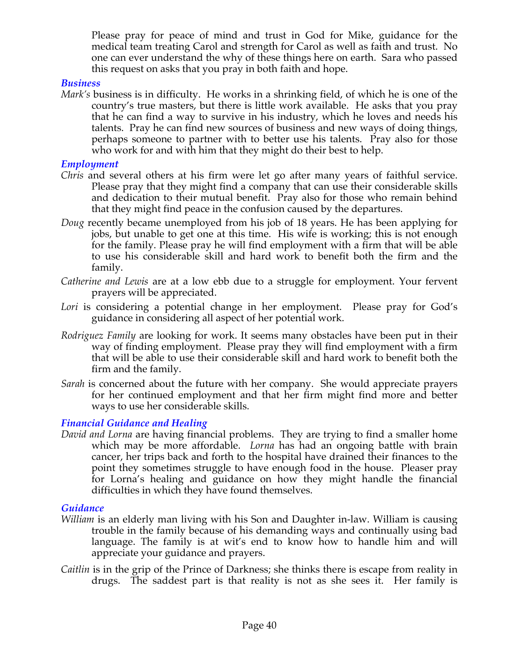Please pray for peace of mind and trust in God for Mike, guidance for the medical team treating Carol and strength for Carol as well as faith and trust. No one can ever understand the why of these things here on earth. Sara who passed this request on asks that you pray in both faith and hope.

#### *Business*

*Mark's* business is in difficulty. He works in a shrinking field, of which he is one of the country's true masters, but there is little work available. He asks that you pray that he can find a way to survive in his industry, which he loves and needs his talents. Pray he can find new sources of business and new ways of doing things, perhaps someone to partner with to better use his talents. Pray also for those who work for and with him that they might do their best to help.

#### *Employment*

- *Chris* and several others at his firm were let go after many years of faithful service. Please pray that they might find a company that can use their considerable skills and dedication to their mutual benefit. Pray also for those who remain behind that they might find peace in the confusion caused by the departures.
- *Doug* recently became unemployed from his job of 18 years. He has been applying for jobs, but unable to get one at this time. His wife is working; this is not enough for the family. Please pray he will find employment with a firm that will be able to use his considerable skill and hard work to benefit both the firm and the family.
- *Catherine and Lewis* are at a low ebb due to a struggle for employment. Your fervent prayers will be appreciated.
- Lori is considering a potential change in her employment. Please pray for God's guidance in considering all aspect of her potential work.
- *Rodriguez Family* are looking for work. It seems many obstacles have been put in their way of finding employment. Please pray they will find employment with a firm that will be able to use their considerable skill and hard work to benefit both the firm and the family.
- *Sarah* is concerned about the future with her company. She would appreciate prayers for her continued employment and that her firm might find more and better ways to use her considerable skills.

#### *Financial Guidance and Healing*

*David and Lorna* are having financial problems. They are trying to find a smaller home which may be more affordable. *Lorna* has had an ongoing battle with brain cancer, her trips back and forth to the hospital have drained their finances to the point they sometimes struggle to have enough food in the house. Pleaser pray for Lorna's healing and guidance on how they might handle the financial difficulties in which they have found themselves.

#### *Guidance*

- *William* is an elderly man living with his Son and Daughter in-law. William is causing trouble in the family because of his demanding ways and continually using bad language. The family is at wit's end to know how to handle him and will appreciate your guidance and prayers.
- *Caitlin* is in the grip of the Prince of Darkness; she thinks there is escape from reality in drugs. The saddest part is that reality is not as she sees it. Her family is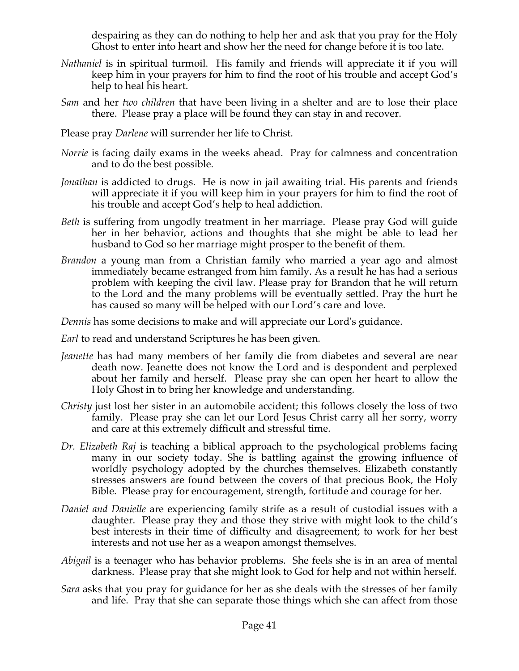despairing as they can do nothing to help her and ask that you pray for the Holy Ghost to enter into heart and show her the need for change before it is too late.

- *Nathaniel* is in spiritual turmoil. His family and friends will appreciate it if you will keep him in your prayers for him to find the root of his trouble and accept God's help to heal his heart.
- *Sam* and her *two children* that have been living in a shelter and are to lose their place there. Please pray a place will be found they can stay in and recover.
- Please pray *Darlene* will surrender her life to Christ.
- *Norrie* is facing daily exams in the weeks ahead. Pray for calmness and concentration and to do the best possible.
- *Jonathan* is addicted to drugs. He is now in jail awaiting trial. His parents and friends will appreciate it if you will keep him in your prayers for him to find the root of his trouble and accept God's help to heal addiction.
- *Beth* is suffering from ungodly treatment in her marriage. Please pray God will guide her in her behavior, actions and thoughts that she might be able to lead her husband to God so her marriage might prosper to the benefit of them.
- *Brandon* a young man from a Christian family who married a year ago and almost immediately became estranged from him family. As a result he has had a serious problem with keeping the civil law. Please pray for Brandon that he will return to the Lord and the many problems will be eventually settled. Pray the hurt he has caused so many will be helped with our Lord's care and love.

*Dennis* has some decisions to make and will appreciate our Lord's guidance.

*Earl* to read and understand Scriptures he has been given.

- *Jeanette* has had many members of her family die from diabetes and several are near death now. Jeanette does not know the Lord and is despondent and perplexed about her family and herself. Please pray she can open her heart to allow the Holy Ghost in to bring her knowledge and understanding.
- *Christy* just lost her sister in an automobile accident; this follows closely the loss of two family. Please pray she can let our Lord Jesus Christ carry all her sorry, worry and care at this extremely difficult and stressful time.
- *Dr. Elizabeth Raj* is teaching a biblical approach to the psychological problems facing many in our society today. She is battling against the growing influence of worldly psychology adopted by the churches themselves. Elizabeth constantly stresses answers are found between the covers of that precious Book, the Holy Bible. Please pray for encouragement, strength, fortitude and courage for her.
- *Daniel and Danielle* are experiencing family strife as a result of custodial issues with a daughter. Please pray they and those they strive with might look to the child's best interests in their time of difficulty and disagreement; to work for her best interests and not use her as a weapon amongst themselves.
- *Abigail* is a teenager who has behavior problems. She feels she is in an area of mental darkness. Please pray that she might look to God for help and not within herself.
- *Sara* asks that you pray for guidance for her as she deals with the stresses of her family and life. Pray that she can separate those things which she can affect from those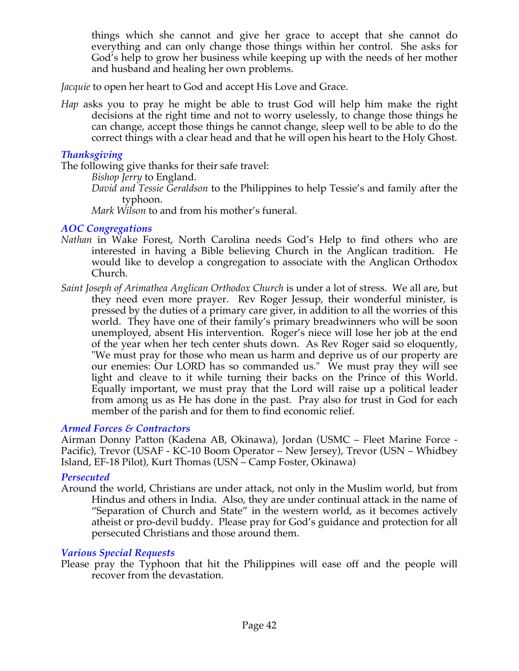things which she cannot and give her grace to accept that she cannot do everything and can only change those things within her control. She asks for God's help to grow her business while keeping up with the needs of her mother and husband and healing her own problems.

*Jacquie* to open her heart to God and accept His Love and Grace.

*Hap* asks you to pray he might be able to trust God will help him make the right decisions at the right time and not to worry uselessly, to change those things he can change, accept those things he cannot change, sleep well to be able to do the correct things with a clear head and that he will open his heart to the Holy Ghost.

#### *Thanksgiving*

The following give thanks for their safe travel:

- *Bishop Jerry* to England.
- *David and Tessie Geraldson* to the Philippines to help Tessie's and family after the typhoon.
- *Mark Wilson* to and from his mother's funeral.

## *AOC Congregations*

- *Nathan* in Wake Forest, North Carolina needs God's Help to find others who are interested in having a Bible believing Church in the Anglican tradition. He would like to develop a congregation to associate with the Anglican Orthodox Church.
- *Saint Joseph of Arimathea Anglican Orthodox Church* is under a lot of stress. We all are, but they need even more prayer. Rev Roger Jessup, their wonderful minister, is pressed by the duties of a primary care giver, in addition to all the worries of this world. They have one of their family's primary breadwinners who will be soon unemployed, absent His intervention. Roger's niece will lose her job at the end of the year when her tech center shuts down. As Rev Roger said so eloquently, "We must pray for those who mean us harm and deprive us of our property are our enemies: Our LORD has so commanded us." We must pray they will see light and cleave to it while turning their backs on the Prince of this World. Equally important, we must pray that the Lord will raise up a political leader from among us as He has done in the past. Pray also for trust in God for each member of the parish and for them to find economic relief.

#### *Armed Forces & Contractors*

Airman Donny Patton (Kadena AB, Okinawa), Jordan (USMC – Fleet Marine Force - Pacific), Trevor (USAF - KC-10 Boom Operator – New Jersey), Trevor (USN – Whidbey Island, EF-18 Pilot), Kurt Thomas (USN – Camp Foster, Okinawa)

#### *Persecuted*

Around the world, Christians are under attack, not only in the Muslim world, but from Hindus and others in India. Also, they are under continual attack in the name of "Separation of Church and State" in the western world, as it becomes actively atheist or pro-devil buddy. Please pray for God's guidance and protection for all persecuted Christians and those around them.

## *Various Special Requests*

Please pray the Typhoon that hit the Philippines will ease off and the people will recover from the devastation.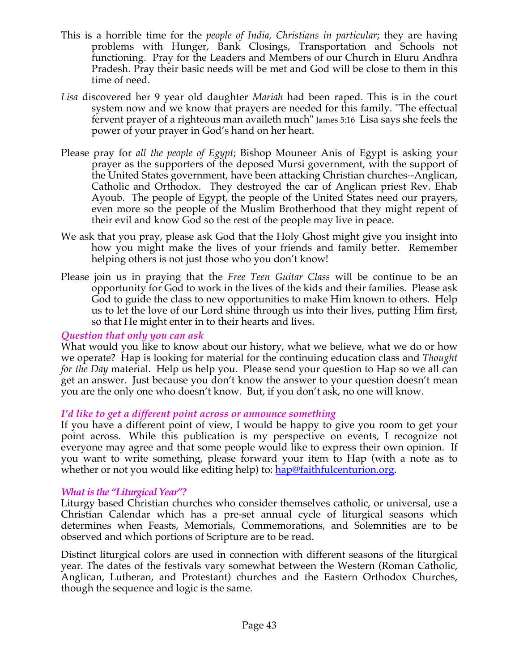- This is a horrible time for the *people of India, Christians in particular*; they are having problems with Hunger, Bank Closings, Transportation and Schools not functioning. Pray for the Leaders and Members of our Church in Eluru Andhra Pradesh. Pray their basic needs will be met and God will be close to them in this time of need.
- *Lisa* discovered her 9 year old daughter *Mariah* had been raped. This is in the court system now and we know that prayers are needed for this family. "The effectual fervent prayer of a righteous man availeth much" James 5:16 Lisa says she feels the power of your prayer in God's hand on her heart.
- Please pray for *all the people of Egypt*; Bishop Mouneer Anis of Egypt is asking your prayer as the supporters of the deposed Mursi government, with the support of the United States government, have been attacking Christian churches--Anglican, Catholic and Orthodox. They destroyed the car of Anglican priest Rev. Ehab Ayoub. The people of Egypt, the people of the United States need our prayers, even more so the people of the Muslim Brotherhood that they might repent of their evil and know God so the rest of the people may live in peace.
- We ask that you pray, please ask God that the Holy Ghost might give you insight into how you might make the lives of your friends and family better. Remember helping others is not just those who you don't know!
- Please join us in praying that the *Free Teen Guitar Class* will be continue to be an opportunity for God to work in the lives of the kids and their families. Please ask God to guide the class to new opportunities to make Him known to others. Help us to let the love of our Lord shine through us into their lives, putting Him first, so that He might enter in to their hearts and lives.

#### *Question that only you can ask*

What would you like to know about our history, what we believe, what we do or how we operate? Hap is looking for material for the continuing education class and *Thought for the Day* material. Help us help you. Please send your question to Hap so we all can get an answer. Just because you don't know the answer to your question doesn't mean you are the only one who doesn't know. But, if you don't ask, no one will know.

#### *I'd like to get a different point across or announce something*

If you have a different point of view, I would be happy to give you room to get your point across. While this publication is my perspective on events, I recognize not everyone may agree and that some people would like to express their own opinion. If you want to write something, please forward your item to Hap (with a note as to whether or not you would like editing help) to: hap@faithfulcenturion.org.

#### *What is the "Liturgical Year"?*

Liturgy based Christian churches who consider themselves catholic, or universal, use a Christian Calendar which has a pre-set annual cycle of liturgical seasons which determines when Feasts, Memorials, Commemorations, and Solemnities are to be observed and which portions of Scripture are to be read.

Distinct liturgical colors are used in connection with different seasons of the liturgical year. The dates of the festivals vary somewhat between the Western (Roman Catholic, Anglican, Lutheran, and Protestant) churches and the Eastern Orthodox Churches, though the sequence and logic is the same.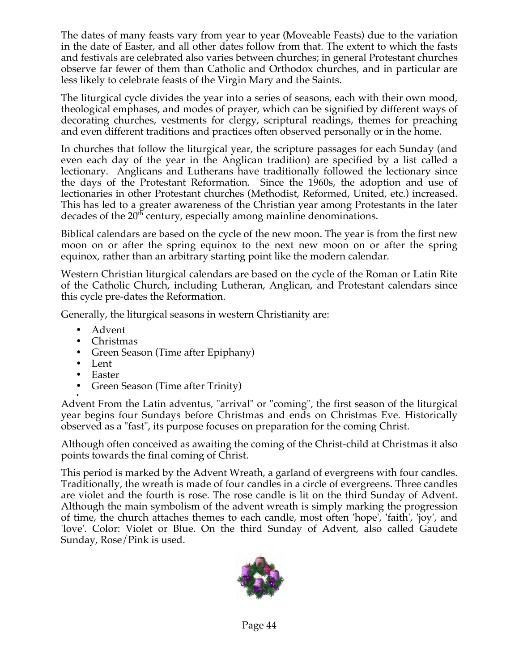The dates of many feasts vary from year to year (Moveable Feasts) due to the variation in the date of Easter, and all other dates follow from that. The extent to which the fasts and festivals are celebrated also varies between churches; in general Protestant churches observe far fewer of them than Catholic and Orthodox churches, and in particular are less likely to celebrate feasts of the Virgin Mary and the Saints.

The liturgical cycle divides the year into a series of seasons, each with their own mood, theological emphases, and modes of prayer, which can be signified by different ways of decorating churches, vestments for clergy, scriptural readings, themes for preaching and even different traditions and practices often observed personally or in the home.

In churches that follow the liturgical year, the scripture passages for each Sunday (and even each day of the year in the Anglican tradition) are specified by a list called a lectionary. Anglicans and Lutherans have traditionally followed the lectionary since the days of the Protestant Reformation. Since the 1960s, the adoption and use of lectionaries in other Protestant churches (Methodist, Reformed, United, etc.) increased. This has led to a greater awareness of the Christian year among Protestants in the later decades of the  $20<sup>th</sup>$  century, especially among mainline denominations.

Biblical calendars are based on the cycle of the new moon. The year is from the first new moon on or after the spring equinox to the next new moon on or after the spring equinox, rather than an arbitrary starting point like the modern calendar.

Western Christian liturgical calendars are based on the cycle of the Roman or Latin Rite of the Catholic Church, including Lutheran, Anglican, and Protestant calendars since this cycle pre-dates the Reformation.

Generally, the liturgical seasons in western Christianity are:

- Advent
- Christmas
- Green Season (Time after Epiphany)
- Lent
- Easter
- Green Season (Time after Trinity)

• Advent From the Latin adventus, "arrival" or "coming", the first season of the liturgical year begins four Sundays before Christmas and ends on Christmas Eve. Historically observed as a "fast", its purpose focuses on preparation for the coming Christ.

Although often conceived as awaiting the coming of the Christ-child at Christmas it also points towards the final coming of Christ.

This period is marked by the Advent Wreath, a garland of evergreens with four candles. Traditionally, the wreath is made of four candles in a circle of evergreens. Three candles are violet and the fourth is rose. The rose candle is lit on the third Sunday of Advent. Although the main symbolism of the advent wreath is simply marking the progression of time, the church attaches themes to each candle, most often 'hope', 'faith', 'joy', and 'love'. Color: Violet or Blue. On the third Sunday of Advent, also called Gaudete Sunday, Rose/Pink is used.

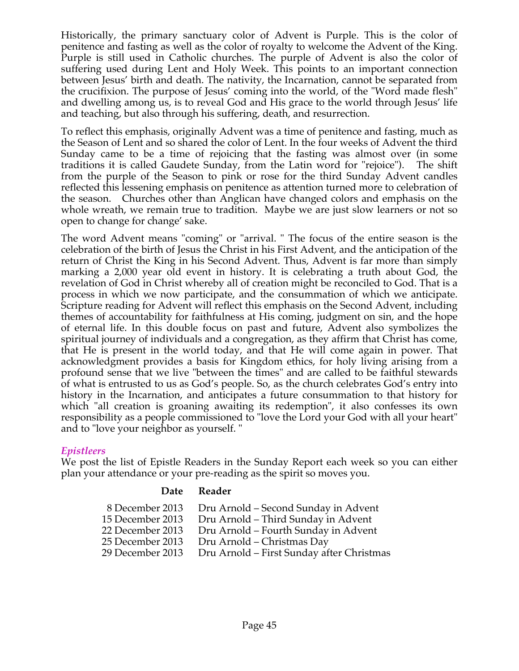Historically, the primary sanctuary color of Advent is Purple. This is the color of penitence and fasting as well as the color of royalty to welcome the Advent of the King. Purple is still used in Catholic churches. The purple of Advent is also the color of suffering used during Lent and Holy Week. This points to an important connection between Jesus' birth and death. The nativity, the Incarnation, cannot be separated from the crucifixion. The purpose of Jesus' coming into the world, of the "Word made flesh" and dwelling among us, is to reveal God and His grace to the world through Jesus' life and teaching, but also through his suffering, death, and resurrection.

To reflect this emphasis, originally Advent was a time of penitence and fasting, much as the Season of Lent and so shared the color of Lent. In the four weeks of Advent the third Sunday came to be a time of rejoicing that the fasting was almost over (in some traditions it is called Gaudete Sunday, from the Latin word for "rejoice"). The shift from the purple of the Season to pink or rose for the third Sunday Advent candles reflected this lessening emphasis on penitence as attention turned more to celebration of the season. Churches other than Anglican have changed colors and emphasis on the whole wreath, we remain true to tradition. Maybe we are just slow learners or not so open to change for change' sake.

The word Advent means "coming" or "arrival. " The focus of the entire season is the celebration of the birth of Jesus the Christ in his First Advent, and the anticipation of the return of Christ the King in his Second Advent. Thus, Advent is far more than simply marking a 2,000 year old event in history. It is celebrating a truth about God, the revelation of God in Christ whereby all of creation might be reconciled to God. That is a process in which we now participate, and the consummation of which we anticipate. Scripture reading for Advent will reflect this emphasis on the Second Advent, including themes of accountability for faithfulness at His coming, judgment on sin, and the hope of eternal life. In this double focus on past and future, Advent also symbolizes the spiritual journey of individuals and a congregation, as they affirm that Christ has come, that He is present in the world today, and that He will come again in power. That acknowledgment provides a basis for Kingdom ethics, for holy living arising from a profound sense that we live "between the times" and are called to be faithful stewards of what is entrusted to us as God's people. So, as the church celebrates God's entry into history in the Incarnation, and anticipates a future consummation to that history for which "all creation is groaning awaiting its redemption", it also confesses its own responsibility as a people commissioned to "love the Lord your God with all your heart" and to "love your neighbor as yourself. "

## *Epistleers*

We post the list of Epistle Readers in the Sunday Report each week so you can either plan your attendance or your pre-reading as the spirit so moves you.

#### **Date Reader**

| 8 December 2013  | Dru Arnold - Second Sunday in Advent      |
|------------------|-------------------------------------------|
| 15 December 2013 | Dru Arnold - Third Sunday in Advent       |
| 22 December 2013 | Dru Arnold - Fourth Sunday in Advent      |
| 25 December 2013 | Dru Arnold - Christmas Day                |
| 29 December 2013 | Dru Arnold - First Sunday after Christmas |